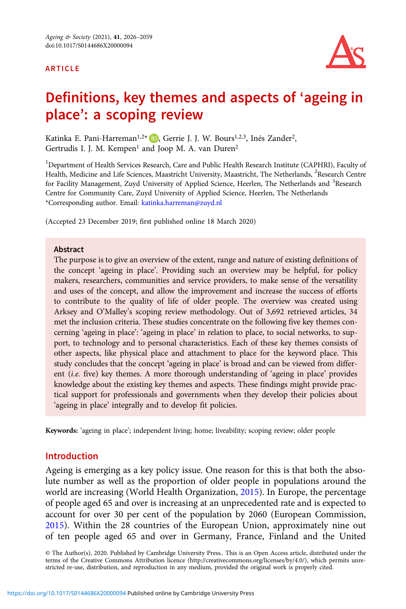#### ARTICLE



# Definitions, key themes and aspects of 'ageing in place': a scoping review

Katinka E. Pani-Harreman<sup>1,2\*</sup> (D), Gerrie J. J. W. Bours<sup>1,2,3</sup>, Inés Zander<sup>2</sup>, Gertrudis I. J. M. Kempen<sup>1</sup> and Joop M. A. van Duren<sup>2</sup>

<sup>1</sup>Department of Health Services Research, Care and Public Health Research Institute (CAPHRI), Faculty of Health, Medicine and Life Sciences, Maastricht University, Maastricht, The Netherlands, <sup>2</sup>Research Centre for Facility Management, Zuyd University of Applied Science, Heerlen, The Netherlands and <sup>3</sup>Research Centre for Community Care, Zuyd University of Applied Science, Heerlen, The Netherlands \*Corresponding author. Email: [katinka.harreman@zuyd.nl](mailto:katinka.harreman@zuyd.nl)

(Accepted 23 December 2019; first published online 18 March 2020)

#### Abstract

The purpose is to give an overview of the extent, range and nature of existing definitions of the concept 'ageing in place'. Providing such an overview may be helpful, for policy makers, researchers, communities and service providers, to make sense of the versatility and uses of the concept, and allow the improvement and increase the success of efforts to contribute to the quality of life of older people. The overview was created using Arksey and O'Malley's scoping review methodology. Out of 3,692 retrieved articles, 34 met the inclusion criteria. These studies concentrate on the following five key themes concerning 'ageing in place': 'ageing in place' in relation to place, to social networks, to support, to technology and to personal characteristics. Each of these key themes consists of other aspects, like physical place and attachment to place for the keyword place. This study concludes that the concept 'ageing in place' is broad and can be viewed from different (i.e. five) key themes. A more thorough understanding of 'ageing in place' provides knowledge about the existing key themes and aspects. These findings might provide practical support for professionals and governments when they develop their policies about 'ageing in place' integrally and to develop fit policies.

Keywords: 'ageing in place'; independent living; home; liveability; scoping review; older people

# **Introduction**

Ageing is emerging as a key policy issue. One reason for this is that both the absolute number as well as the proportion of older people in populations around the world are increasing (World Health Organization, [2015\)](#page-33-0). In Europe, the percentage of people aged 65 and over is increasing at an unprecedented rate and is expected to account for over 30 per cent of the population by 2060 (European Commission, [2015\)](#page-32-0). Within the 28 countries of the European Union, approximately nine out of ten people aged 65 and over in Germany, France, Finland and the United

© The Author(s), 2020. Published by Cambridge University Press.. This is an Open Access article, distributed under the terms of the Creative Commons Attribution licence (http://creativecommons.org/licenses/by/4.0/), which permits unrestricted re-use, distribution, and reproduction in any medium, provided the original work is properly cited.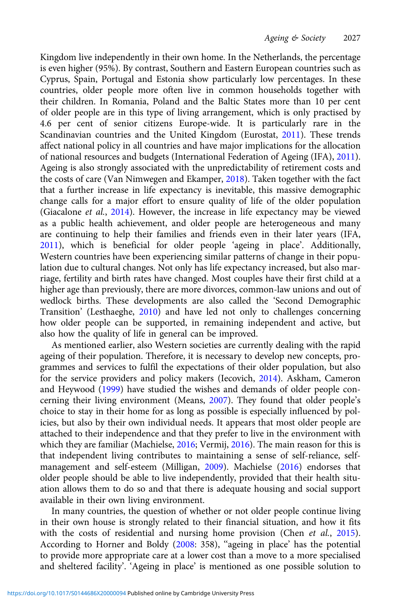Kingdom live independently in their own home. In the Netherlands, the percentage is even higher (95%). By contrast, Southern and Eastern European countries such as Cyprus, Spain, Portugal and Estonia show particularly low percentages. In these countries, older people more often live in common households together with their children. In Romania, Poland and the Baltic States more than 10 per cent of older people are in this type of living arrangement, which is only practised by 4.6 per cent of senior citizens Europe-wide. It is particularly rare in the Scandinavian countries and the United Kingdom (Eurostat, [2011\)](#page-32-0). These trends affect national policy in all countries and have major implications for the allocation of national resources and budgets (International Federation of Ageing (IFA), [2011\)](#page-32-0). Ageing is also strongly associated with the unpredictability of retirement costs and the costs of care (Van Nimwegen and Ekamper, [2018](#page-33-0)). Taken together with the fact that a further increase in life expectancy is inevitable, this massive demographic change calls for a major effort to ensure quality of life of the older population (Giacalone et al., [2014](#page-32-0)). However, the increase in life expectancy may be viewed as a public health achievement, and older people are heterogeneous and many are continuing to help their families and friends even in their later years (IFA, [2011](#page-32-0)), which is beneficial for older people 'ageing in place'. Additionally, Western countries have been experiencing similar patterns of change in their population due to cultural changes. Not only has life expectancy increased, but also marriage, fertility and birth rates have changed. Most couples have their first child at a higher age than previously, there are more divorces, common-law unions and out of wedlock births. These developments are also called the 'Second Demographic Transition' (Lesthaeghe, [2010](#page-32-0)) and have led not only to challenges concerning how older people can be supported, in remaining independent and active, but also how the quality of life in general can be improved.

As mentioned earlier, also Western societies are currently dealing with the rapid ageing of their population. Therefore, it is necessary to develop new concepts, programmes and services to fulfil the expectations of their older population, but also for the service providers and policy makers (Iecovich, [2014](#page-32-0)). Askham, Cameron and Heywood ([1999\)](#page-31-0) have studied the wishes and demands of older people concerning their living environment (Means, [2007\)](#page-33-0). They found that older people's choice to stay in their home for as long as possible is especially influenced by policies, but also by their own individual needs. It appears that most older people are attached to their independence and that they prefer to live in the environment with which they are familiar (Machielse, [2016](#page-32-0); Vermij, [2016\)](#page-33-0). The main reason for this is that independent living contributes to maintaining a sense of self-reliance, selfmanagement and self-esteem (Milligan, [2009\)](#page-33-0). Machielse [\(2016](#page-32-0)) endorses that older people should be able to live independently, provided that their health situation allows them to do so and that there is adequate housing and social support available in their own living environment.

In many countries, the question of whether or not older people continue living in their own house is strongly related to their financial situation, and how it fits with the costs of residential and nursing home provision (Chen et al., [2015\)](#page-32-0). According to Horner and Boldy ([2008](#page-32-0): 358), ''ageing in place' has the potential to provide more appropriate care at a lower cost than a move to a more specialised and sheltered facility'. 'Ageing in place' is mentioned as one possible solution to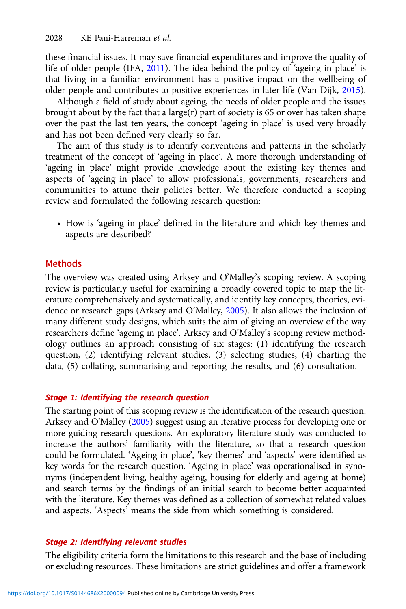these financial issues. It may save financial expenditures and improve the quality of life of older people (IFA, [2011](#page-32-0)). The idea behind the policy of 'ageing in place' is that living in a familiar environment has a positive impact on the wellbeing of older people and contributes to positive experiences in later life (Van Dijk, [2015\)](#page-33-0).

Although a field of study about ageing, the needs of older people and the issues brought about by the fact that a large( $r$ ) part of society is 65 or over has taken shape over the past the last ten years, the concept 'ageing in place' is used very broadly and has not been defined very clearly so far.

The aim of this study is to identify conventions and patterns in the scholarly treatment of the concept of 'ageing in place'. A more thorough understanding of 'ageing in place' might provide knowledge about the existing key themes and aspects of 'ageing in place' to allow professionals, governments, researchers and communities to attune their policies better. We therefore conducted a scoping review and formulated the following research question:

• How is 'ageing in place' defined in the literature and which key themes and aspects are described?

# Methods

The overview was created using Arksey and O'Malley's scoping review. A scoping review is particularly useful for examining a broadly covered topic to map the literature comprehensively and systematically, and identify key concepts, theories, evidence or research gaps (Arksey and O'Malley, [2005](#page-31-0)). It also allows the inclusion of many different study designs, which suits the aim of giving an overview of the way researchers define 'ageing in place'. Arksey and O'Malley's scoping review methodology outlines an approach consisting of six stages: (1) identifying the research question, (2) identifying relevant studies, (3) selecting studies, (4) charting the data, (5) collating, summarising and reporting the results, and (6) consultation.

### Stage 1: Identifying the research question

The starting point of this scoping review is the identification of the research question. Arksey and O'Malley ([2005\)](#page-31-0) suggest using an iterative process for developing one or more guiding research questions. An exploratory literature study was conducted to increase the authors' familiarity with the literature, so that a research question could be formulated. 'Ageing in place', 'key themes' and 'aspects' were identified as key words for the research question. 'Ageing in place' was operationalised in synonyms (independent living, healthy ageing, housing for elderly and ageing at home) and search terms by the findings of an initial search to become better acquainted with the literature. Key themes was defined as a collection of somewhat related values and aspects. 'Aspects' means the side from which something is considered.

### Stage 2: Identifying relevant studies

The eligibility criteria form the limitations to this research and the base of including or excluding resources. These limitations are strict guidelines and offer a framework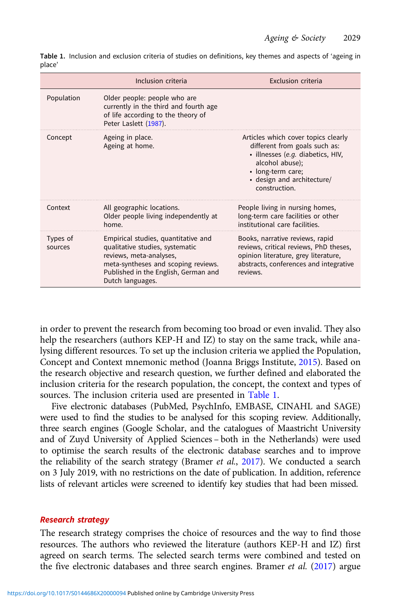|                     | Inclusion criteria                                                                                                                                                                                   | Exclusion criteria                                                                                                                                                                               |
|---------------------|------------------------------------------------------------------------------------------------------------------------------------------------------------------------------------------------------|--------------------------------------------------------------------------------------------------------------------------------------------------------------------------------------------------|
| Population          | Older people: people who are<br>currently in the third and fourth age<br>of life according to the theory of<br>Peter Laslett (1987).                                                                 |                                                                                                                                                                                                  |
| Concept             | Ageing in place.<br>Ageing at home.                                                                                                                                                                  | Articles which cover topics clearly<br>different from goals such as:<br>· illnesses (e.g. diabetics, HIV,<br>alcohol abuse);<br>• long-term care;<br>• design and architecture/<br>construction. |
| Context             | All geographic locations.<br>Older people living independently at<br>home.                                                                                                                           | People living in nursing homes,<br>long-term care facilities or other<br>institutional care facilities.                                                                                          |
| Types of<br>sources | Empirical studies, quantitative and<br>qualitative studies, systematic<br>reviews, meta-analyses,<br>meta-syntheses and scoping reviews.<br>Published in the English, German and<br>Dutch languages. | Books, narrative reviews, rapid<br>reviews, critical reviews, PhD theses,<br>opinion literature, grey literature,<br>abstracts, conferences and integrative<br>reviews.                          |

<span id="page-3-0"></span>Table 1. Inclusion and exclusion criteria of studies on definitions, key themes and aspects of 'ageing in place'

in order to prevent the research from becoming too broad or even invalid. They also help the researchers (authors KEP-H and IZ) to stay on the same track, while analysing different resources. To set up the inclusion criteria we applied the Population, Concept and Context mnemonic method (Joanna Briggs Institute, [2015\)](#page-32-0). Based on the research objective and research question, we further defined and elaborated the inclusion criteria for the research population, the concept, the context and types of sources. The inclusion criteria used are presented in Table 1.

Five electronic databases (PubMed, PsychInfo, EMBASE, CINAHL and SAGE) were used to find the studies to be analysed for this scoping review. Additionally, three search engines (Google Scholar, and the catalogues of Maastricht University and of Zuyd University of Applied Sciences – both in the Netherlands) were used to optimise the search results of the electronic database searches and to improve the reliability of the search strategy (Bramer et al., [2017\)](#page-32-0). We conducted a search on 3 July 2019, with no restrictions on the date of publication. In addition, reference lists of relevant articles were screened to identify key studies that had been missed.

#### Research strategy

The research strategy comprises the choice of resources and the way to find those resources. The authors who reviewed the literature (authors KEP-H and IZ) first agreed on search terms. The selected search terms were combined and tested on the five electronic databases and three search engines. Bramer et al. [\(2017\)](#page-32-0) argue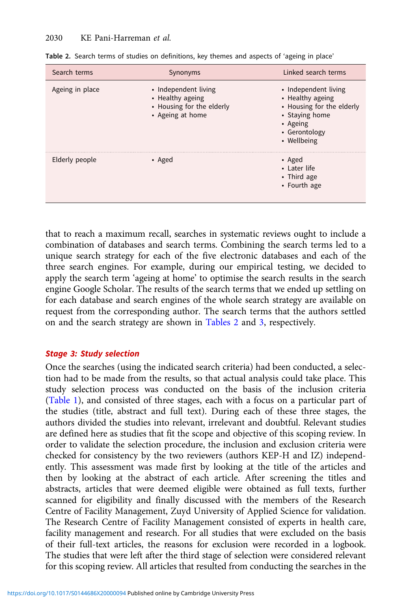#### 2030 KE Pani‐Harreman et al.

| Search terms    | Synonyms                                                                                  | Linked search terms                                                                                                                 |
|-----------------|-------------------------------------------------------------------------------------------|-------------------------------------------------------------------------------------------------------------------------------------|
| Ageing in place | • Independent living<br>• Healthy ageing<br>• Housing for the elderly<br>• Ageing at home | • Independent living<br>• Healthy ageing<br>• Housing for the elderly<br>• Staying home<br>• Ageing<br>• Gerontology<br>• Wellbeing |
| Elderly people  | • Aged                                                                                    | • Aged<br>• Later life<br>$\cdot$ Third age<br>• Fourth age                                                                         |

Table 2. Search terms of studies on definitions, key themes and aspects of 'ageing in place'

that to reach a maximum recall, searches in systematic reviews ought to include a combination of databases and search terms. Combining the search terms led to a unique search strategy for each of the five electronic databases and each of the three search engines. For example, during our empirical testing, we decided to apply the search term 'ageing at home' to optimise the search results in the search engine Google Scholar. The results of the search terms that we ended up settling on for each database and search engines of the whole search strategy are available on request from the corresponding author. The search terms that the authors settled on and the search strategy are shown in Tables 2 and [3](#page-5-0), respectively.

### Stage 3: Study selection

Once the searches (using the indicated search criteria) had been conducted, a selection had to be made from the results, so that actual analysis could take place. This study selection process was conducted on the basis of the inclusion criteria ([Table 1\)](#page-3-0), and consisted of three stages, each with a focus on a particular part of the studies (title, abstract and full text). During each of these three stages, the authors divided the studies into relevant, irrelevant and doubtful. Relevant studies are defined here as studies that fit the scope and objective of this scoping review. In order to validate the selection procedure, the inclusion and exclusion criteria were checked for consistency by the two reviewers (authors KEP-H and IZ) independently. This assessment was made first by looking at the title of the articles and then by looking at the abstract of each article. After screening the titles and abstracts, articles that were deemed eligible were obtained as full texts, further scanned for eligibility and finally discussed with the members of the Research Centre of Facility Management, Zuyd University of Applied Science for validation. The Research Centre of Facility Management consisted of experts in health care, facility management and research. For all studies that were excluded on the basis of their full-text articles, the reasons for exclusion were recorded in a logbook. The studies that were left after the third stage of selection were considered relevant for this scoping review. All articles that resulted from conducting the searches in the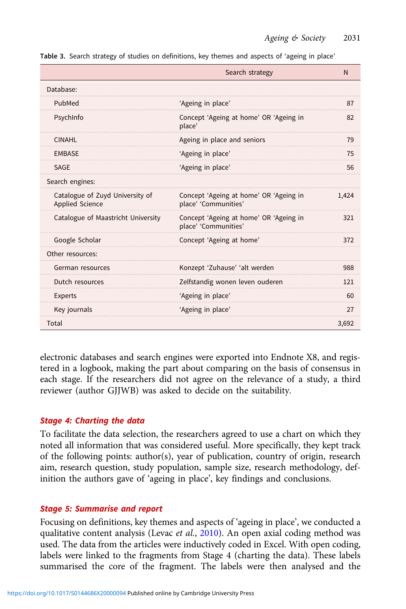|                                                           | Search strategy                                                | N     |
|-----------------------------------------------------------|----------------------------------------------------------------|-------|
| Database:                                                 |                                                                |       |
| PubMed                                                    | 'Ageing in place'                                              | 87    |
| Psychinfo                                                 | Concept 'Ageing at home' OR 'Ageing in<br>place'               | 82    |
| <b>CINAHL</b>                                             | Ageing in place and seniors                                    | 79    |
| <b>EMBASE</b>                                             | 'Ageing in place'                                              | 75    |
| SAGE                                                      | 'Ageing in place'                                              | 56    |
| Search engines:                                           |                                                                |       |
| Catalogue of Zuyd University of<br><b>Applied Science</b> | Concept 'Ageing at home' OR 'Ageing in<br>place' 'Communities' | 1,424 |
| Catalogue of Maastricht University                        | Concept 'Ageing at home' OR 'Ageing in<br>place' 'Communities' | 321   |
| Google Scholar                                            | Concept 'Ageing at home'                                       | 372   |
| Other resources:                                          |                                                                |       |
| German resources                                          | Konzept 'Zuhause' 'alt werden                                  | 988   |
| Dutch resources                                           | Zelfstandig wonen leven ouderen                                | 121   |
| <b>Experts</b>                                            | 'Ageing in place'                                              | 60    |
| Key journals                                              | 'Ageing in place'                                              | 27    |
| Total                                                     |                                                                | 3,692 |

<span id="page-5-0"></span>Table 3. Search strategy of studies on definitions, key themes and aspects of 'ageing in place'

electronic databases and search engines were exported into Endnote X8, and registered in a logbook, making the part about comparing on the basis of consensus in each stage. If the researchers did not agree on the relevance of a study, a third reviewer (author GJJWB) was asked to decide on the suitability.

### Stage 4: Charting the data

To facilitate the data selection, the researchers agreed to use a chart on which they noted all information that was considered useful. More specifically, they kept track of the following points: author(s), year of publication, country of origin, research aim, research question, study population, sample size, research methodology, definition the authors gave of 'ageing in place', key findings and conclusions.

#### Stage 5: Summarise and report

Focusing on definitions, key themes and aspects of 'ageing in place', we conducted a qualitative content analysis (Levac et al., [2010\)](#page-32-0). An open axial coding method was used. The data from the articles were inductively coded in Excel. With open coding, labels were linked to the fragments from Stage 4 (charting the data). These labels summarised the core of the fragment. The labels were then analysed and the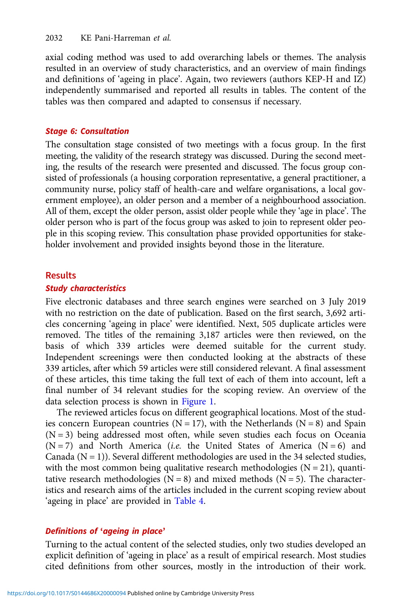axial coding method was used to add overarching labels or themes. The analysis resulted in an overview of study characteristics, and an overview of main findings and definitions of 'ageing in place'. Again, two reviewers (authors KEP-H and IZ) independently summarised and reported all results in tables. The content of the tables was then compared and adapted to consensus if necessary.

#### Stage 6: Consultation

The consultation stage consisted of two meetings with a focus group. In the first meeting, the validity of the research strategy was discussed. During the second meeting, the results of the research were presented and discussed. The focus group consisted of professionals (a housing corporation representative, a general practitioner, a community nurse, policy staff of health-care and welfare organisations, a local government employee), an older person and a member of a neighbourhood association. All of them, except the older person, assist older people while they 'age in place'. The older person who is part of the focus group was asked to join to represent older people in this scoping review. This consultation phase provided opportunities for stakeholder involvement and provided insights beyond those in the literature.

#### Results

#### Study characteristics

Five electronic databases and three search engines were searched on 3 July 2019 with no restriction on the date of publication. Based on the first search, 3,692 articles concerning 'ageing in place' were identified. Next, 505 duplicate articles were removed. The titles of the remaining 3,187 articles were then reviewed, on the basis of which 339 articles were deemed suitable for the current study. Independent screenings were then conducted looking at the abstracts of these 339 articles, after which 59 articles were still considered relevant. A final assessment of these articles, this time taking the full text of each of them into account, left a final number of 34 relevant studies for the scoping review. An overview of the data selection process is shown in [Figure 1.](#page-7-0)

The reviewed articles focus on different geographical locations. Most of the studies concern European countries ( $N = 17$ ), with the Netherlands ( $N = 8$ ) and Spain  $(N = 3)$  being addressed most often, while seven studies each focus on Oceania  $(N = 7)$  and North America (*i.e.* the United States of America (N = 6) and Canada  $(N = 1)$ ). Several different methodologies are used in the 34 selected studies, with the most common being qualitative research methodologies  $(N = 21)$ , quantitative research methodologies ( $N = 8$ ) and mixed methods ( $N = 5$ ). The characteristics and research aims of the articles included in the current scoping review about 'ageing in place' are provided in [Table 4.](#page-8-0)

### Definitions of 'ageing in place'

Turning to the actual content of the selected studies, only two studies developed an explicit definition of 'ageing in place' as a result of empirical research. Most studies cited definitions from other sources, mostly in the introduction of their work.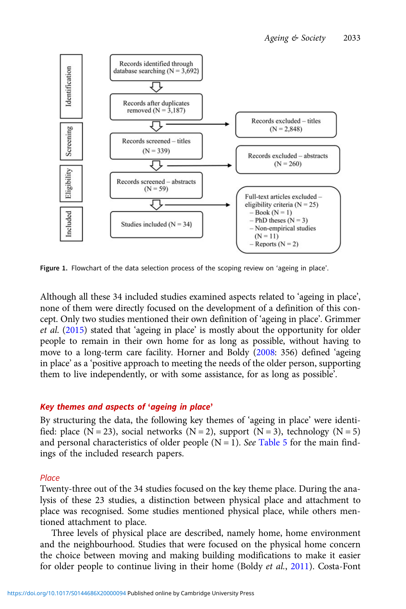<span id="page-7-0"></span>

Figure 1. Flowchart of the data selection process of the scoping review on 'ageing in place'.

Although all these 34 included studies examined aspects related to 'ageing in place', none of them were directly focused on the development of a definition of this concept. Only two studies mentioned their own definition of 'ageing in place'. Grimmer et al. ([2015](#page-32-0)) stated that 'ageing in place' is mostly about the opportunity for older people to remain in their own home for as long as possible, without having to move to a long-term care facility. Horner and Boldy [\(2008](#page-32-0): 356) defined 'ageing in place' as a 'positive approach to meeting the needs of the older person, supporting them to live independently, or with some assistance, for as long as possible'.

#### Key themes and aspects of 'ageing in place'

By structuring the data, the following key themes of 'ageing in place' were identified: place (N = 23), social networks (N = 2), support (N = 3), technology (N = 5) and personal characteristics of older people  $(N = 1)$ . See [Table 5](#page-14-0) for the main findings of the included research papers.

#### Place

Twenty-three out of the 34 studies focused on the key theme place. During the analysis of these 23 studies, a distinction between physical place and attachment to place was recognised. Some studies mentioned physical place, while others mentioned attachment to place.

Three levels of physical place are described, namely home, home environment and the neighbourhood. Studies that were focused on the physical home concern the choice between moving and making building modifications to make it easier for older people to continue living in their home (Boldy et al., [2011](#page-31-0)). Costa-Font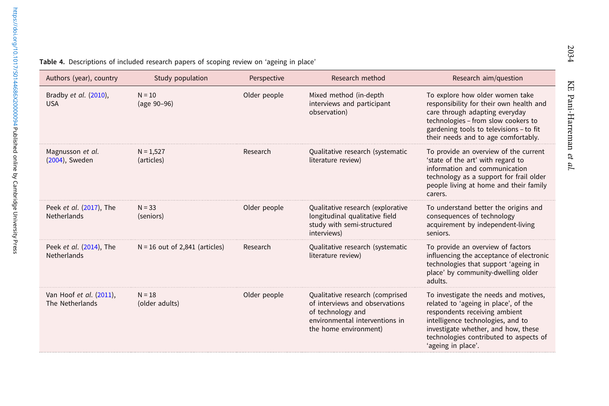<span id="page-8-0"></span>

| Table 4. Descriptions of included research papers of scoping review on 'ageing in place' |
|------------------------------------------------------------------------------------------|
|------------------------------------------------------------------------------------------|

| Authors (year), country                       | Study population                 | Perspective  | Research method                                                                                                                                   | Research aim/question                                                                                                                                                                                                                                      |
|-----------------------------------------------|----------------------------------|--------------|---------------------------------------------------------------------------------------------------------------------------------------------------|------------------------------------------------------------------------------------------------------------------------------------------------------------------------------------------------------------------------------------------------------------|
| Bradby et al. (2010),<br><b>USA</b>           | $N = 10$<br>(age 90-96)          | Older people | Mixed method (in-depth<br>interviews and participant<br>observation)                                                                              | To explore how older women take<br>responsibility for their own health and<br>care through adapting everyday<br>technologies - from slow cookers to<br>gardening tools to televisions - to fit<br>their needs and to age comfortably.                      |
| Magnusson et al.<br>(2004), Sweden            | $N = 1,527$<br>(articles)        | Research     | Qualitative research (systematic<br>literature review)                                                                                            | To provide an overview of the current<br>'state of the art' with regard to<br>information and communication<br>technology as a support for frail older<br>people living at home and their family<br>carers.                                                |
| Peek et al. (2017), The<br><b>Netherlands</b> | $N = 33$<br>(seniors)            | Older people | Qualitative research (explorative<br>longitudinal qualitative field<br>study with semi-structured<br>interviews)                                  | To understand better the origins and<br>consequences of technology<br>acquirement by independent-living<br>seniors.                                                                                                                                        |
| Peek et al. (2014), The<br><b>Netherlands</b> | $N = 16$ out of 2,841 (articles) | Research     | Qualitative research (systematic<br>literature review)                                                                                            | To provide an overview of factors<br>influencing the acceptance of electronic<br>technologies that support 'ageing in<br>place' by community-dwelling older<br>adults.                                                                                     |
| Van Hoof et al. (2011),<br>The Netherlands    | $N = 18$<br>(older adults)       | Older people | Qualitative research (comprised<br>of interviews and observations<br>of technology and<br>environmental interventions in<br>the home environment) | To investigate the needs and motives,<br>related to 'ageing in place', of the<br>respondents receiving ambient<br>intelligence technologies, and to<br>investigate whether, and how, these<br>technologies contributed to aspects of<br>'ageing in place'. |

et al.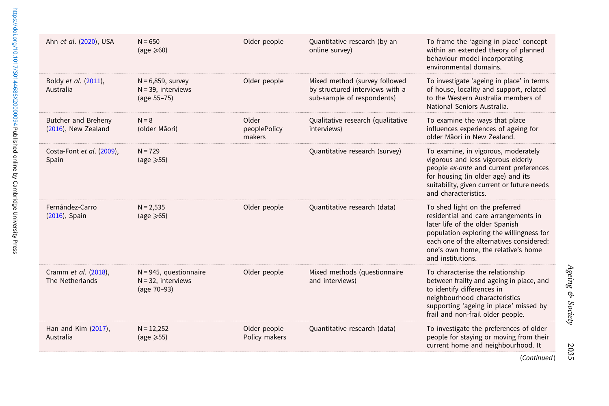| Ahn et al. (2020), USA                            | $N = 650$<br>(age $\geqslant 60$ )                                | Older people                    | Quantitative research (by an<br>online survey)                                                 | To frame the 'ageing in place' concept<br>within an extended theory of planned<br>behaviour model incorporating<br>environmental domains.                                                                                                                     |
|---------------------------------------------------|-------------------------------------------------------------------|---------------------------------|------------------------------------------------------------------------------------------------|---------------------------------------------------------------------------------------------------------------------------------------------------------------------------------------------------------------------------------------------------------------|
| Boldy et al. (2011),<br>Australia                 | $N = 6,859$ , survey<br>$N = 39$ , interviews<br>(age 55-75)      | Older people                    | Mixed method (survey followed<br>by structured interviews with a<br>sub-sample of respondents) | To investigate 'ageing in place' in terms<br>of house, locality and support, related<br>to the Western Australia members of<br>National Seniors Australia.                                                                                                    |
| <b>Butcher and Breheny</b><br>(2016), New Zealand | $N = 8$<br>(older Māori)                                          | Older<br>peoplePolicy<br>makers | Qualitative research (qualitative<br>interviews)                                               | To examine the ways that place<br>influences experiences of ageing for<br>older Māori in New Zealand.                                                                                                                                                         |
| Costa-Font et al. (2009),<br>Spain                | $N = 729$<br>(age $\geqslant$ 55)                                 |                                 | Quantitative research (survey)                                                                 | To examine, in vigorous, moderately<br>vigorous and less vigorous elderly<br>people ex-ante and current preferences<br>for housing (in older age) and its<br>suitability, given current or future needs<br>and characteristics.                               |
| Fernández-Carro<br>(2016), Spain                  | $N = 2,535$<br>(age $\geqslant 65$ )                              | Older people                    | Quantitative research (data)                                                                   | To shed light on the preferred<br>residential and care arrangements in<br>later life of the older Spanish<br>population exploring the willingness for<br>each one of the alternatives considered:<br>one's own home, the relative's home<br>and institutions. |
| Cramm et al. (2018),<br>The Netherlands           | $N = 945$ , questionnaire<br>$N = 32$ , interviews<br>(age 70-93) | Older people                    | Mixed methods (questionnaire<br>and interviews)                                                | To characterise the relationship<br>between frailty and ageing in place, and<br>to identify differences in<br>neighbourhood characteristics<br>supporting 'ageing in place' missed by<br>frail and non-frail older people.                                    |
| Han and Kim (2017),<br>Australia                  | $N = 12,252$<br>(age $\geqslant$ 55)                              | Older people<br>Policy makers   | Quantitative research (data)                                                                   | To investigate the preferences of older<br>people for staying or moving from their<br>current home and neighbourhood. It                                                                                                                                      |
|                                                   |                                                                   |                                 |                                                                                                |                                                                                                                                                                                                                                                               |

(Continued) 2035

Ageing & Society

Ageing  $\mathop{\mathsf{e}}\nolimits$  Society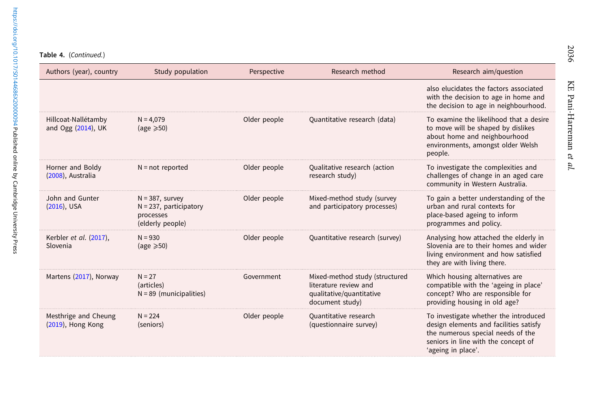#### Table 4. (Continued.)

| Authors (year), country                      | Study population                                                                 | Perspective  | Research method                                                                                        | Research aim/question                                                                                                                                                             |
|----------------------------------------------|----------------------------------------------------------------------------------|--------------|--------------------------------------------------------------------------------------------------------|-----------------------------------------------------------------------------------------------------------------------------------------------------------------------------------|
|                                              |                                                                                  |              |                                                                                                        | also elucidates the factors associated<br>with the decision to age in home and<br>the decision to age in neighbourhood.                                                           |
| Hillcoat-Nallétamby<br>and Ogg (2014), UK    | $N = 4,079$<br>$\text{(age } \geqslant 50\text{)}$                               | Older people | Quantitative research (data)                                                                           | To examine the likelihood that a desire<br>to move will be shaped by dislikes<br>about home and neighbourhood<br>environments, amongst older Welsh<br>people.                     |
| Horner and Boldy<br>(2008), Australia        | $N = not reported$                                                               | Older people | Qualitative research (action<br>research study)                                                        | To investigate the complexities and<br>challenges of change in an aged care<br>community in Western Australia.                                                                    |
| John and Gunter<br>(2016), USA               | $N = 387$ , survey<br>$N = 237$ , participatory<br>processes<br>(elderly people) | Older people | Mixed-method study (survey<br>and participatory processes)                                             | To gain a better understanding of the<br>urban and rural contexts for<br>place-based ageing to inform<br>programmes and policy.                                                   |
| Kerbler et al. (2017),<br>Slovenia           | $N = 930$<br>(age $\geqslant$ 50)                                                | Older people | Quantitative research (survey)                                                                         | Analysing how attached the elderly in<br>Slovenia are to their homes and wider<br>living environment and how satisfied<br>they are with living there.                             |
| Martens (2017), Norway                       | $N = 27$<br>(articles)<br>$N = 89$ (municipalities)                              | Government   | Mixed-method study (structured<br>literature review and<br>qualitative/quantitative<br>document study) | Which housing alternatives are<br>compatible with the 'ageing in place'<br>concept? Who are responsible for<br>providing housing in old age?                                      |
| Mesthrige and Cheung<br>$(2019)$ , Hong Kong | $N = 224$<br>(seniors)                                                           | Older people | <b>Ouantitative research</b><br>(questionnaire survey)                                                 | To investigate whether the introduced<br>design elements and facilities satisfy<br>the numerous special needs of the<br>seniors in line with the concept of<br>'ageing in place'. |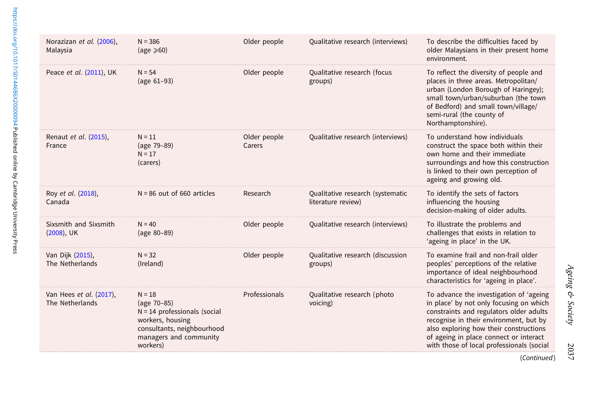| Norazizan et al. (2006),<br>Malaysia       | $N = 386$<br>$\text{(age } \geq 60)$                                                                                                              | Older people           | Qualitative research (interviews)                      | To describe the difficulties faced by<br>older Malaysians in their present home<br>environment.                                                                                                                                                                                                          |
|--------------------------------------------|---------------------------------------------------------------------------------------------------------------------------------------------------|------------------------|--------------------------------------------------------|----------------------------------------------------------------------------------------------------------------------------------------------------------------------------------------------------------------------------------------------------------------------------------------------------------|
| Peace et al. (2011), UK                    | $N = 54$<br>(age 61-93)                                                                                                                           | Older people           | Qualitative research (focus<br>groups)                 | To reflect the diversity of people and<br>places in three areas. Metropolitan/<br>urban (London Borough of Haringey);<br>small town/urban/suburban (the town<br>of Bedford) and small town/village/<br>semi-rural (the county of<br>Northamptonshire).                                                   |
| Renaut et al. (2015),<br>France            | $N = 11$<br>(age 79-89)<br>$N = 17$<br>(carers)                                                                                                   | Older people<br>Carers | Qualitative research (interviews)                      | To understand how individuals<br>construct the space both within their<br>own home and their immediate<br>surroundings and how this construction<br>is linked to their own perception of<br>ageing and growing old.                                                                                      |
| Roy et al. (2018),<br>Canada               | $N = 86$ out of 660 articles                                                                                                                      | Research               | Qualitative research (systematic<br>literature review) | To identify the sets of factors<br>influencing the housing<br>decision-making of older adults.                                                                                                                                                                                                           |
| Sixsmith and Sixsmith<br>$(2008)$ , UK     | $N = 40$<br>(age 80-89)                                                                                                                           | Older people           | Qualitative research (interviews)                      | To illustrate the problems and<br>challenges that exists in relation to<br>'ageing in place' in the UK.                                                                                                                                                                                                  |
| Van Dijk (2015),<br>The Netherlands        | $N = 32$<br>(Ireland)                                                                                                                             | Older people           | Qualitative research (discussion<br>groups)            | To examine frail and non-frail older<br>peoples' perceptions of the relative<br>importance of ideal neighbourhood<br>characteristics for 'ageing in place'.                                                                                                                                              |
| Van Hees et al. (2017),<br>The Netherlands | $N = 18$<br>(age 70-85)<br>$N = 14$ professionals (social<br>workers, housing<br>consultants, neighbourhood<br>managers and community<br>workers) | Professionals          | Qualitative research (photo<br>voicing)                | To advance the investigation of 'ageing<br>in place' by not only focusing on which<br>constraints and regulators older adults<br>recognise in their environment, but by<br>also exploring how their constructions<br>of ageing in place connect or interact<br>with those of local professionals (social |

(Continued) 2037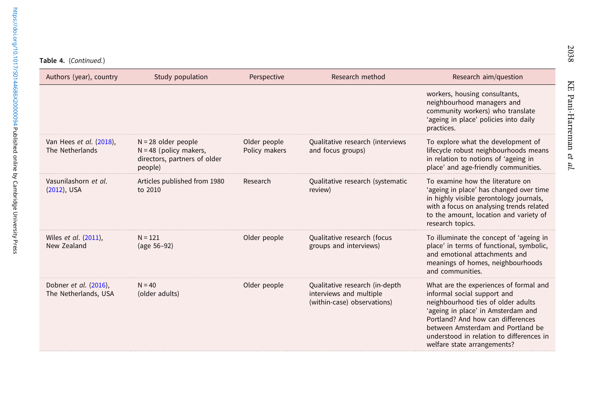| Table 4. (Continued.) |
|-----------------------|
|-----------------------|

| Authors (year), country                       | Study population                                                                             | Perspective                   | Research method                                                                          | Research aim/guestion                                                                                                                                                                                                                                                                                  |
|-----------------------------------------------|----------------------------------------------------------------------------------------------|-------------------------------|------------------------------------------------------------------------------------------|--------------------------------------------------------------------------------------------------------------------------------------------------------------------------------------------------------------------------------------------------------------------------------------------------------|
|                                               |                                                                                              |                               |                                                                                          | workers, housing consultants,<br>neighbourhood managers and<br>community workers) who translate<br>'ageing in place' policies into daily<br>practices.                                                                                                                                                 |
| Van Hees et al. (2018),<br>The Netherlands    | $N = 28$ older people<br>$N = 48$ (policy makers,<br>directors, partners of older<br>people) | Older people<br>Policy makers | Qualitative research (interviews<br>and focus groups)                                    | To explore what the development of<br>lifecycle robust neighbourhoods means<br>in relation to notions of 'ageing in<br>place' and age-friendly communities.                                                                                                                                            |
| Vasunilashorn et al.<br>(2012), USA           | Articles published from 1980<br>to 2010                                                      | Research                      | Qualitative research (systematic<br>review)                                              | To examine how the literature on<br>'ageing in place' has changed over time<br>in highly visible gerontology journals,<br>with a focus on analysing trends related<br>to the amount, location and variety of<br>research topics.                                                                       |
| Wiles et al. (2011),<br>New Zealand           | $N = 121$<br>(age 56-92)                                                                     | Older people                  | Qualitative research (focus<br>groups and interviews)                                    | To illuminate the concept of 'ageing in<br>place' in terms of functional, symbolic,<br>and emotional attachments and<br>meanings of homes, neighbourhoods<br>and communities.                                                                                                                          |
| Dobner et al. (2016),<br>The Netherlands, USA | $N = 40$<br>(older adults)                                                                   | Older people                  | Qualitative research (in-depth<br>interviews and multiple<br>(within-case) observations) | What are the experiences of formal and<br>informal social support and<br>neighbourhood ties of older adults<br>'ageing in place' in Amsterdam and<br>Portland? And how can differences<br>between Amsterdam and Portland be<br>understood in relation to differences in<br>welfare state arrangements? |

‐Harreman

et al.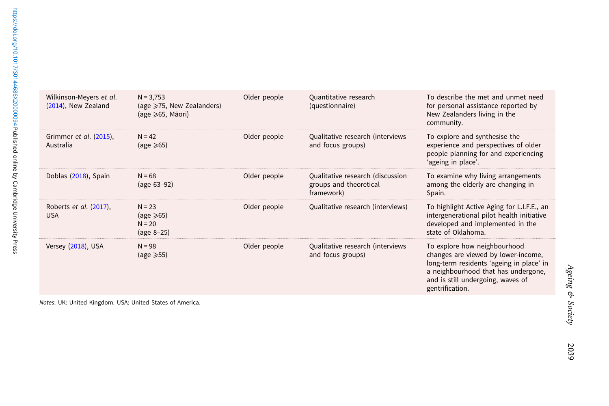| Wilkinson-Meyers et al.<br>(2014), New Zealand | $N = 3,753$<br>(age ≥75, New Zealanders)<br>(age $\geqslant$ 65, Maori) | Older people | Quantitative research<br>(questionnaire)                                 | To describe the met and unmet need<br>for personal assistance reported by<br>New Zealanders living in the<br>community.                                                                                        |
|------------------------------------------------|-------------------------------------------------------------------------|--------------|--------------------------------------------------------------------------|----------------------------------------------------------------------------------------------------------------------------------------------------------------------------------------------------------------|
| Grimmer et al. (2015),<br>Australia            | $N = 42$<br>$\text{(age } \geq 65)$                                     | Older people | Qualitative research (interviews<br>and focus groups)                    | To explore and synthesise the<br>experience and perspectives of older<br>people planning for and experiencing<br>'ageing in place'.                                                                            |
| Doblas (2018), Spain                           | $N = 68$<br>$(age 63-92)$                                               | Older people | Qualitative research (discussion<br>groups and theoretical<br>framework) | To examine why living arrangements<br>among the elderly are changing in<br>Spain.                                                                                                                              |
| Roberts et al. (2017),<br><b>USA</b>           | $N = 23$<br>$\text{(age } \geq 65)$<br>$N = 20$<br>$(age 8-25)$         | Older people | Qualitative research (interviews)                                        | To highlight Active Aging for L.I.F.E., an<br>intergenerational pilot health initiative<br>developed and implemented in the<br>state of Oklahoma.                                                              |
| Versey (2018), USA                             | $N = 98$<br>$\text{(age } \geqslant 55)$                                | Older people | Qualitative research (interviews<br>and focus groups)                    | To explore how neighbourhood<br>changes are viewed by lower-income,<br>long-term residents 'ageing in place' in<br>a neighbourhood that has undergone,<br>and is still undergoing, waves of<br>gentrification. |

Notes: UK: United Kingdom. USA: United States of America.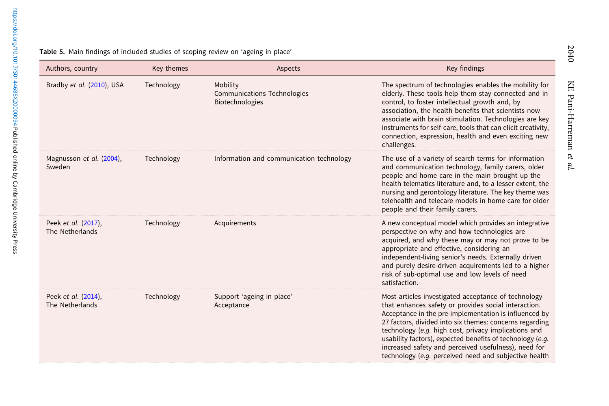#### <span id="page-14-0"></span>Table 5. Main findings of included studies of scoping review on 'ageing in place'

| Authors, country                       | Key themes | Aspects                                                           | Key findings                                                                                                                                                                                                                                                                                                                                                                                                                                                          |
|----------------------------------------|------------|-------------------------------------------------------------------|-----------------------------------------------------------------------------------------------------------------------------------------------------------------------------------------------------------------------------------------------------------------------------------------------------------------------------------------------------------------------------------------------------------------------------------------------------------------------|
| Bradby et al. (2010), USA              | Technology | Mobility<br><b>Communications Technologies</b><br>Biotechnologies | The spectrum of technologies enables the mobility for<br>elderly. These tools help them stay connected and in<br>control, to foster intellectual growth and, by<br>association, the health benefits that scientists now<br>associate with brain stimulation. Technologies are key<br>instruments for self-care, tools that can elicit creativity,<br>connection, expression, health and even exciting new<br>challenges.                                              |
| Magnusson et al. (2004),<br>Sweden     | Technology | Information and communication technology                          | The use of a variety of search terms for information<br>and communication technology, family carers, older<br>people and home care in the main brought up the<br>health telematics literature and, to a lesser extent, the<br>nursing and gerontology literature. The key theme was<br>telehealth and telecare models in home care for older<br>people and their family carers.                                                                                       |
| Peek et al. (2017),<br>The Netherlands | Technology | Acquirements                                                      | A new conceptual model which provides an integrative<br>perspective on why and how technologies are<br>acquired, and why these may or may not prove to be<br>appropriate and effective, considering an<br>independent-living senior's needs. Externally driven<br>and purely desire-driven acquirements led to a higher<br>risk of sub-optimal use and low levels of need<br>satisfaction.                                                                            |
| Peek et al. (2014),<br>The Netherlands | Technology | Support 'ageing in place'<br>Acceptance                           | Most articles investigated acceptance of technology<br>that enhances safety or provides social interaction.<br>Acceptance in the pre-implementation is influenced by<br>27 factors, divided into six themes: concerns regarding<br>technology (e.g. high cost, privacy implications and<br>usability factors), expected benefits of technology (e.g.<br>increased safety and perceived usefulness), need for<br>technology (e.g. perceived need and subjective health |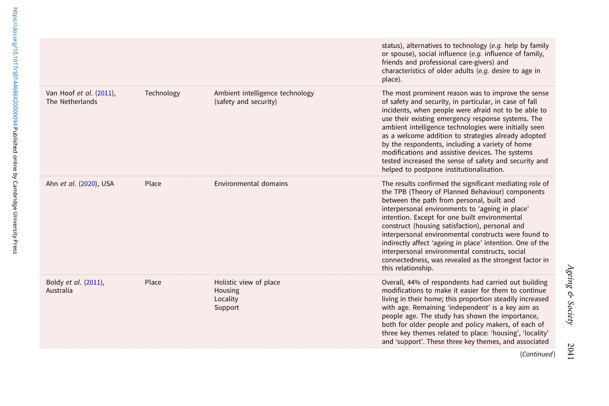|                                            |            |                                                          | status), alternatives to technology (e.g. help by family<br>or spouse), social influence (e.g. influence of family,<br>friends and professional care-givers) and<br>characteristics of older adults (e.g. desire to age in<br>place).                                                                                                                                                                                                                                                                                                                                 |
|--------------------------------------------|------------|----------------------------------------------------------|-----------------------------------------------------------------------------------------------------------------------------------------------------------------------------------------------------------------------------------------------------------------------------------------------------------------------------------------------------------------------------------------------------------------------------------------------------------------------------------------------------------------------------------------------------------------------|
| Van Hoof et al. (2011),<br>The Netherlands | Technology | Ambient intelligence technology<br>(safety and security) | The most prominent reason was to improve the sense<br>of safety and security, in particular, in case of fall<br>incidents, when people were afraid not to be able to<br>use their existing emergency response systems. The<br>ambient intelligence technologies were initially seen<br>as a welcome addition to strategies already adopted<br>by the respondents, including a variety of home<br>modifications and assistive devices. The systems<br>tested increased the sense of safety and security and<br>helped to postpone institutionalisation.                |
| Ahn et al. (2020), USA                     | Place      | Environmental domains                                    | The results confirmed the significant mediating role of<br>the TPB (Theory of Planned Behaviour) components<br>between the path from personal, built and<br>interpersonal environments to 'ageing in place'<br>intention. Except for one built environmental<br>construct (housing satisfaction), personal and<br>interpersonal environmental constructs were found to<br>indirectly affect 'ageing in place' intention. One of the<br>interpersonal environmental constructs, social<br>connectedness, was revealed as the strongest factor in<br>this relationship. |
| Boldy et al. (2011),<br>Australia          | Place      | Holistic view of place<br>Housing<br>Locality<br>Support | Overall, 44% of respondents had carried out building<br>modifications to make it easier for them to continue<br>living in their home; this proportion steadily increased<br>with age. Remaining 'independent' is a key aim as<br>people age. The study has shown the importance,<br>both for older people and policy makers, of each of<br>three key themes related to place: 'housing', 'locality'<br>and 'support'. These three key themes, and associated                                                                                                          |

(Continued)

Ageing & Society

Ageing  $\mathop{\mathsf{e}}\nolimits$  Society

2041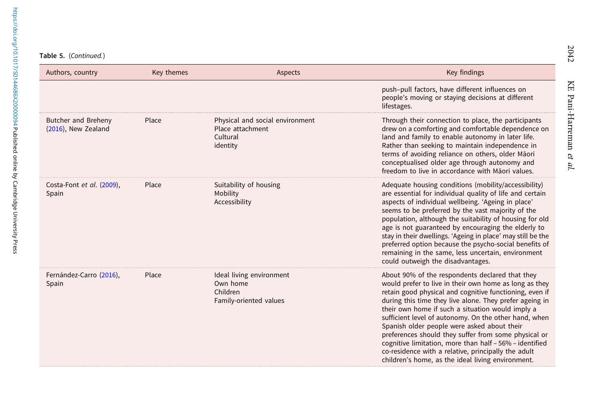|  |  | Table 5. (Continued.) |
|--|--|-----------------------|
|--|--|-----------------------|

| Authors, country                           | Key themes | Aspects                                                                     | Key findings                                                                                                                                                                                                                                                                                                                                                                                                                                                                                                                                                                                                               |
|--------------------------------------------|------------|-----------------------------------------------------------------------------|----------------------------------------------------------------------------------------------------------------------------------------------------------------------------------------------------------------------------------------------------------------------------------------------------------------------------------------------------------------------------------------------------------------------------------------------------------------------------------------------------------------------------------------------------------------------------------------------------------------------------|
|                                            |            |                                                                             | push-pull factors, have different influences on<br>people's moving or staying decisions at different<br>lifestages.                                                                                                                                                                                                                                                                                                                                                                                                                                                                                                        |
| Butcher and Breheny<br>(2016), New Zealand | Place      | Physical and social environment<br>Place attachment<br>Cultural<br>identity | Through their connection to place, the participants<br>drew on a comforting and comfortable dependence on<br>land and family to enable autonomy in later life.<br>Rather than seeking to maintain independence in<br>terms of avoiding reliance on others, older Māori<br>conceptualised older age through autonomy and<br>freedom to live in accordance with Māori values.                                                                                                                                                                                                                                                |
| Costa-Font et al. (2009),<br>Spain         | Place      | Suitability of housing<br>Mobility<br>Accessibility                         | Adequate housing conditions (mobility/accessibility)<br>are essential for individual quality of life and certain<br>aspects of individual wellbeing. 'Ageing in place'<br>seems to be preferred by the vast majority of the<br>population, although the suitability of housing for old<br>age is not guaranteed by encouraging the elderly to<br>stay in their dwellings. 'Ageing in place' may still be the<br>preferred option because the psycho-social benefits of<br>remaining in the same, less uncertain, environment<br>could outweigh the disadvantages.                                                          |
| Fernández-Carro (2016),<br>Spain           | Place      | Ideal living environment<br>Own home<br>Children<br>Family-oriented values  | About 90% of the respondents declared that they<br>would prefer to live in their own home as long as they<br>retain good physical and cognitive functioning, even if<br>during this time they live alone. They prefer ageing in<br>their own home if such a situation would imply a<br>sufficient level of autonomy. On the other hand, when<br>Spanish older people were asked about their<br>preferences should they suffer from some physical or<br>cognitive limitation, more than half - 56% - identified<br>co-residence with a relative, principally the adult<br>children's home, as the ideal living environment. |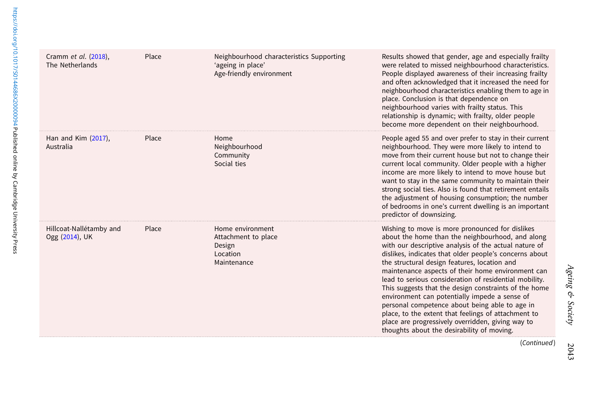| doi.org/10.1017/S0144686X20000094 Published online by Cambridge University Press | Cramm et al. (2018),<br>The Netherlands   | Pla |
|----------------------------------------------------------------------------------|-------------------------------------------|-----|
|                                                                                  | Han and Kim (2017),<br>Australia          | Pla |
|                                                                                  | Hillcoat-Nallétamby and<br>Ogg (2014), UK | Pla |

ace Neighbourhood characteristics Supporting 'ageing in place' Age-friendly environment

ace **Home** Neighbourhood Community Social ties

ace **Home environment** Attachment to place Design LocationMaintenance

Results showed that gender, age and especially frailty were related to missed neighbourhood characteristics. People displayed awareness of their increasing frailty and often acknowledged that it increased the need for neighbourhood characteristics enabling them to age in place. Conclusion is that dependence on neighbourhood varies with frailty status. This relationship is dynamic; with frailty, older people become more dependent on their neighbourhood.

People aged <sup>55</sup> and over prefer to stay in their current neighbourhood. They were more likely to intend to move from their current house but not to change their current local community. Older people with <sup>a</sup> higher income are more likely to intend to move house but want to stay in the same community to maintain their strong social ties. Also is found that retirement entails the adjustment of housing consumption; the number of bedrooms in one'<sup>s</sup> current dwelling is an important predictor of downsizing.

Wishing to move is more pronounced for dislikes about the home than the neighbourhood, and along with our descriptive analysis of the actual nature of dislikes, indicates that older people'<sup>s</sup> concerns about the structural design features, location and maintenance aspects of their home environment can lead to serious consideration of residential mobility. This suggests that the design constraints of the home environment can potentially impede <sup>a</sup> sense of personal competence about being able to age in place, to the extent that feelings of attachment to place are progressively overridden, giving way to thoughts about the desirability of moving.

Ageing & Society Ageing & Society 2043

(Continued)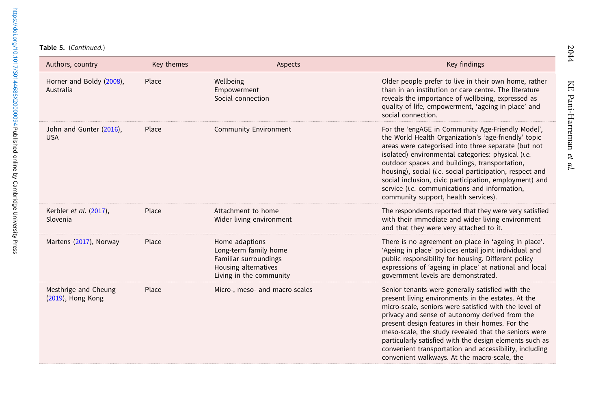|  | Table 5. (Continued.) |
|--|-----------------------|
|--|-----------------------|

| Authors, country                          | Key themes | Aspects                                                                                                             | Key findings                                                                                                                                                                                                                                                                                                                                                                                                                                                                                      |
|-------------------------------------------|------------|---------------------------------------------------------------------------------------------------------------------|---------------------------------------------------------------------------------------------------------------------------------------------------------------------------------------------------------------------------------------------------------------------------------------------------------------------------------------------------------------------------------------------------------------------------------------------------------------------------------------------------|
| Horner and Boldy (2008),<br>Australia     | Place      | Wellbeing<br>Empowerment<br>Social connection                                                                       | Older people prefer to live in their own home, rather<br>than in an institution or care centre. The literature<br>reveals the importance of wellbeing, expressed as<br>quality of life, empowerment, 'ageing-in-place' and<br>social connection.                                                                                                                                                                                                                                                  |
| John and Gunter (2016),<br><b>USA</b>     | Place      | <b>Community Environment</b>                                                                                        | For the 'engAGE in Community Age-Friendly Model',<br>the World Health Organization's 'age-friendly' topic<br>areas were categorised into three separate (but not<br>isolated) environmental categories: physical (i.e.<br>outdoor spaces and buildings, transportation,<br>housing), social (i.e. social participation, respect and<br>social inclusion, civic participation, employment) and<br>service (i.e. communications and information,<br>community support, health services).            |
| Kerbler et al. (2017),<br>Slovenia        | Place      | Attachment to home<br>Wider living environment                                                                      | The respondents reported that they were very satisfied<br>with their immediate and wider living environment<br>and that they were very attached to it.                                                                                                                                                                                                                                                                                                                                            |
| Martens (2017), Norway                    | Place      | Home adaptions<br>Long-term family home<br>Familiar surroundings<br>Housing alternatives<br>Living in the community | There is no agreement on place in 'ageing in place'.<br>'Ageing in place' policies entail joint individual and<br>public responsibility for housing. Different policy<br>expressions of 'ageing in place' at national and local<br>government levels are demonstrated.                                                                                                                                                                                                                            |
| Mesthrige and Cheung<br>(2019), Hong Kong | Place      | Micro-, meso- and macro-scales                                                                                      | Senior tenants were generally satisfied with the<br>present living environments in the estates. At the<br>micro-scale, seniors were satisfied with the level of<br>privacy and sense of autonomy derived from the<br>present design features in their homes. For the<br>meso-scale, the study revealed that the seniors were<br>particularly satisfied with the design elements such as<br>convenient transportation and accessibility, including<br>convenient walkways. At the macro-scale, the |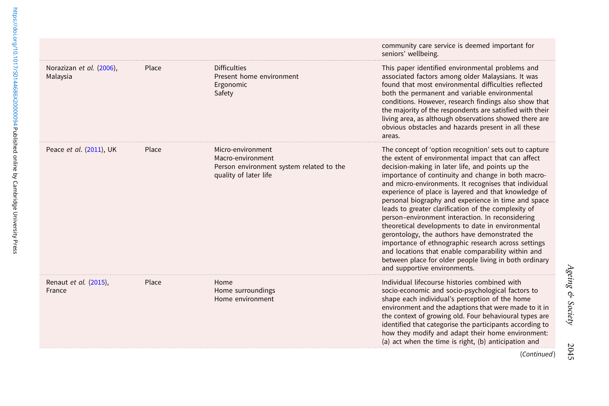|                                      |       |                                                                                                             | community care service is deemed important for<br>seniors' wellbeing.                                                                                                                                                                                                                                                                                                                                                                                                                                                                                                                                                                                                                                                                                                                                                    |
|--------------------------------------|-------|-------------------------------------------------------------------------------------------------------------|--------------------------------------------------------------------------------------------------------------------------------------------------------------------------------------------------------------------------------------------------------------------------------------------------------------------------------------------------------------------------------------------------------------------------------------------------------------------------------------------------------------------------------------------------------------------------------------------------------------------------------------------------------------------------------------------------------------------------------------------------------------------------------------------------------------------------|
| Norazizan et al. (2006),<br>Malaysia | Place | <b>Difficulties</b><br>Present home environment<br>Ergonomic<br>Safety                                      | This paper identified environmental problems and<br>associated factors among older Malaysians. It was<br>found that most environmental difficulties reflected<br>both the permanent and variable environmental<br>conditions. However, research findings also show that<br>the majority of the respondents are satisfied with their<br>living area, as although observations showed there are<br>obvious obstacles and hazards present in all these<br>areas.                                                                                                                                                                                                                                                                                                                                                            |
| Peace et al. (2011), UK              | Place | Micro-environment<br>Macro-environment<br>Person environment system related to the<br>quality of later life | The concept of 'option recognition' sets out to capture<br>the extent of environmental impact that can affect<br>decision-making in later life, and points up the<br>importance of continuity and change in both macro-<br>and micro-environments. It recognises that individual<br>experience of place is layered and that knowledge of<br>personal biography and experience in time and space<br>leads to greater clarification of the complexity of<br>person-environment interaction. In reconsidering<br>theoretical developments to date in environmental<br>gerontology, the authors have demonstrated the<br>importance of ethnographic research across settings<br>and locations that enable comparability within and<br>between place for older people living in both ordinary<br>and supportive environments. |
| Renaut et al. (2015),<br>France      | Place | Home<br>Home surroundings<br>Home environment                                                               | Individual lifecourse histories combined with<br>socio-economic and socio-psychological factors to<br>shape each individual's perception of the home<br>environment and the adaptions that were made to it in<br>the context of growing old. Four behavioural types are<br>identified that categorise the participants according to<br>how they modify and adapt their home environment:<br>(a) act when the time is right, (b) anticipation and                                                                                                                                                                                                                                                                                                                                                                         |

(Continued)

Ageing & Society

Ageing & Society

2045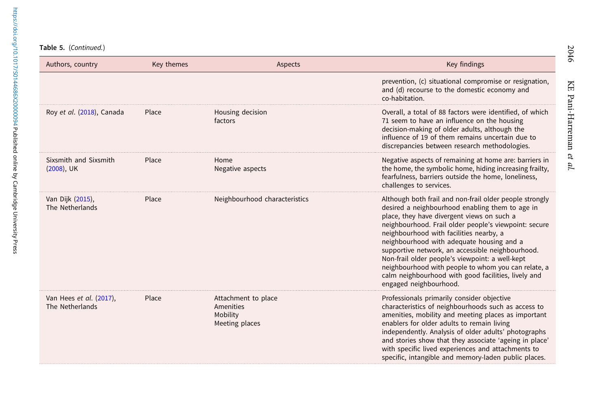| Authors, country                           | Key themes | Aspects                                                        | Key findings                                                                                                                                                                                                                                                                                                                                                                                                                                                                                                                                             |
|--------------------------------------------|------------|----------------------------------------------------------------|----------------------------------------------------------------------------------------------------------------------------------------------------------------------------------------------------------------------------------------------------------------------------------------------------------------------------------------------------------------------------------------------------------------------------------------------------------------------------------------------------------------------------------------------------------|
|                                            |            |                                                                | prevention, (c) situational compromise or resignation,<br>and (d) recourse to the domestic economy and<br>co-habitation.                                                                                                                                                                                                                                                                                                                                                                                                                                 |
| Roy et al. (2018), Canada                  | Place      | Housing decision<br>factors                                    | Overall, a total of 88 factors were identified, of which<br>71 seem to have an influence on the housing<br>decision-making of older adults, although the<br>influence of 19 of them remains uncertain due to<br>discrepancies between research methodologies.                                                                                                                                                                                                                                                                                            |
| Sixsmith and Sixsmith<br>$(2008)$ , UK     | Place      | Home<br>Negative aspects                                       | Negative aspects of remaining at home are: barriers in<br>the home, the symbolic home, hiding increasing frailty,<br>fearfulness, barriers outside the home, loneliness,<br>challenges to services.                                                                                                                                                                                                                                                                                                                                                      |
| Van Dijk (2015),<br>The Netherlands        | Place      | Neighbourhood characteristics                                  | Although both frail and non-frail older people strongly<br>desired a neighbourhood enabling them to age in<br>place, they have divergent views on such a<br>neighbourhood. Frail older people's viewpoint: secure<br>neighbourhood with facilities nearby, a<br>neighbourhood with adequate housing and a<br>supportive network, an accessible neighbourhood.<br>Non-frail older people's viewpoint: a well-kept<br>neighbourhood with people to whom you can relate, a<br>calm neighbourhood with good facilities, lively and<br>engaged neighbourhood. |
| Van Hees et al. (2017),<br>The Netherlands | Place      | Attachment to place<br>Amenities<br>Mobility<br>Meeting places | Professionals primarily consider objective<br>characteristics of neighbourhoods such as access to<br>amenities, mobility and meeting places as important<br>enablers for older adults to remain living<br>independently. Analysis of older adults' photographs<br>and stories show that they associate 'ageing in place'<br>with specific lived experiences and attachments to<br>specific, intangible and memory-laden public places.                                                                                                                   |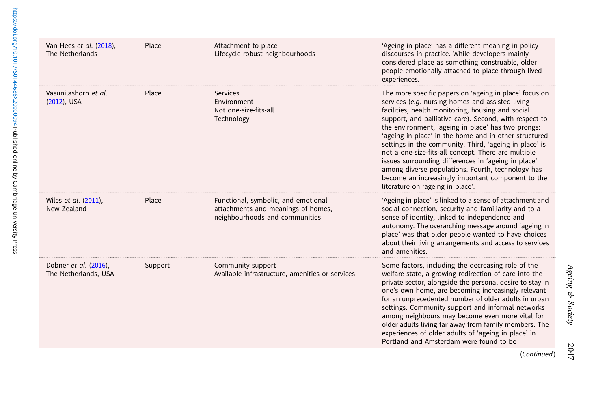| Van Hees et al. (2018),<br>The Netherlands    | Place   | Attachment to place<br>Lifecycle robust neighbourhoods                                                      | 'Ageing in place' has a different meaning in policy<br>discourses in practice. While developers mainly<br>considered place as something construable, older<br>people emotionally attached to place through lived<br>experiences.                                                                                                                                                                                                                                                                                                                                                                                                                               |
|-----------------------------------------------|---------|-------------------------------------------------------------------------------------------------------------|----------------------------------------------------------------------------------------------------------------------------------------------------------------------------------------------------------------------------------------------------------------------------------------------------------------------------------------------------------------------------------------------------------------------------------------------------------------------------------------------------------------------------------------------------------------------------------------------------------------------------------------------------------------|
| Vasunilashorn et al.<br>$(2012)$ , USA        | Place   | Services<br>Environment<br>Not one-size-fits-all<br>Technology                                              | The more specific papers on 'ageing in place' focus on<br>services (e.g. nursing homes and assisted living<br>facilities, health monitoring, housing and social<br>support, and palliative care). Second, with respect to<br>the environment, 'ageing in place' has two prongs:<br>'ageing in place' in the home and in other structured<br>settings in the community. Third, 'ageing in place' is<br>not a one-size-fits-all concept. There are multiple<br>issues surrounding differences in 'ageing in place'<br>among diverse populations. Fourth, technology has<br>become an increasingly important component to the<br>literature on 'ageing in place'. |
| Wiles et al. (2011),<br>New Zealand           | Place   | Functional, symbolic, and emotional<br>attachments and meanings of homes,<br>neighbourhoods and communities | 'Ageing in place' is linked to a sense of attachment and<br>social connection, security and familiarity and to a<br>sense of identity, linked to independence and<br>autonomy. The overarching message around 'ageing in<br>place' was that older people wanted to have choices<br>about their living arrangements and access to services<br>and amenities.                                                                                                                                                                                                                                                                                                    |
| Dobner et al. (2016),<br>The Netherlands, USA | Support | Community support<br>Available infrastructure, amenities or services                                        | Some factors, including the decreasing role of the<br>welfare state, a growing redirection of care into the<br>private sector, alongside the personal desire to stay in<br>one's own home, are becoming increasingly relevant<br>for an unprecedented number of older adults in urban<br>settings. Community support and informal networks<br>among neighbours may become even more vital for<br>older adults living far away from family members. The<br>experiences of older adults of 'ageing in place' in<br>Portland and Amsterdam were found to be                                                                                                       |

(Continued)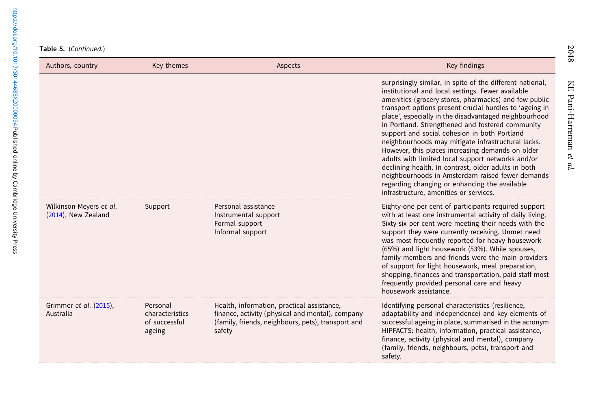| Table 5. (Continued.) |
|-----------------------|
|                       |

| Authors, country                               | Key themes                                             | Aspects                                                                                                                                                        | Key findings                                                                                                                                                                                                                                                                                                                                                                                                                                                                                                                                                                                                                                                                                                                                                         |
|------------------------------------------------|--------------------------------------------------------|----------------------------------------------------------------------------------------------------------------------------------------------------------------|----------------------------------------------------------------------------------------------------------------------------------------------------------------------------------------------------------------------------------------------------------------------------------------------------------------------------------------------------------------------------------------------------------------------------------------------------------------------------------------------------------------------------------------------------------------------------------------------------------------------------------------------------------------------------------------------------------------------------------------------------------------------|
|                                                |                                                        |                                                                                                                                                                | surprisingly similar, in spite of the different national,<br>institutional and local settings. Fewer available<br>amenities (grocery stores, pharmacies) and few public<br>transport options present crucial hurdles to 'ageing in<br>place', especially in the disadvantaged neighbourhood<br>in Portland. Strengthened and fostered community<br>support and social cohesion in both Portland<br>neighbourhoods may mitigate infrastructural lacks.<br>However, this places increasing demands on older<br>adults with limited local support networks and/or<br>declining health. In contrast, older adults in both<br>neighbourhoods in Amsterdam raised fewer demands<br>regarding changing or enhancing the available<br>infrastructure, amenities or services. |
| Wilkinson-Meyers et al.<br>(2014), New Zealand | Support                                                | Personal assistance<br>Instrumental support<br>Formal support<br>Informal support                                                                              | Eighty-one per cent of participants required support<br>with at least one instrumental activity of daily living.<br>Sixty-six per cent were meeting their needs with the<br>support they were currently receiving. Unmet need<br>was most frequently reported for heavy housework<br>(65%) and light housework (53%). While spouses,<br>family members and friends were the main providers<br>of support for light housework, meal preparation,<br>shopping, finances and transportation, paid staff most<br>frequently provided personal care and heavy<br>housework assistance.                                                                                                                                                                                    |
| Grimmer et al. (2015),<br>Australia            | Personal<br>characteristics<br>of successful<br>ageing | Health, information, practical assistance,<br>finance, activity (physical and mental), company<br>(family, friends, neighbours, pets), transport and<br>safety | Identifying personal characteristics (resilience,<br>adaptability and independence) and key elements of<br>successful ageing in place, summarised in the acronym<br>HIPFACTS: health, information, practical assistance,<br>finance, activity (physical and mental), company<br>(family, friends, neighbours, pets), transport and<br>safety.                                                                                                                                                                                                                                                                                                                                                                                                                        |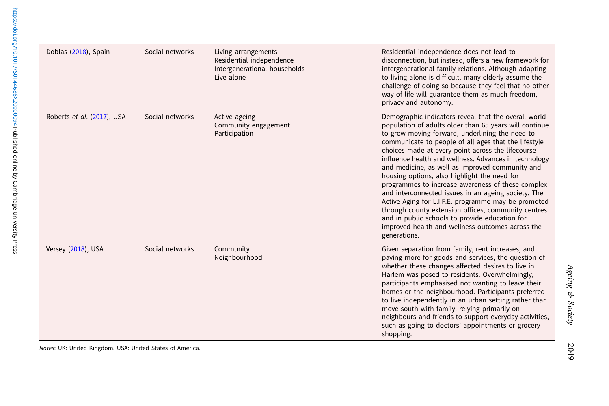| Doblas (2018), Spain       | Social networks | Living arrangements<br>Residential independence<br>Intergenerational households<br>Live alone | Residential independence does not lead to<br>disconnection, but instead, offers a new framework for<br>intergenerational family relations. Although adapting<br>to living alone is difficult, many elderly assume the<br>challenge of doing so because they feel that no other<br>way of life will guarantee them as much freedom,<br>privacy and autonomy.                                                                                                                                                                                                                                                                                                                                                                                                                                |
|----------------------------|-----------------|-----------------------------------------------------------------------------------------------|--------------------------------------------------------------------------------------------------------------------------------------------------------------------------------------------------------------------------------------------------------------------------------------------------------------------------------------------------------------------------------------------------------------------------------------------------------------------------------------------------------------------------------------------------------------------------------------------------------------------------------------------------------------------------------------------------------------------------------------------------------------------------------------------|
| Roberts et al. (2017), USA | Social networks | Active ageing<br>Community engagement<br>Participation                                        | Demographic indicators reveal that the overall world<br>population of adults older than 65 years will continue<br>to grow moving forward, underlining the need to<br>communicate to people of all ages that the lifestyle<br>choices made at every point across the lifecourse<br>influence health and wellness. Advances in technology<br>and medicine, as well as improved community and<br>housing options, also highlight the need for<br>programmes to increase awareness of these complex<br>and interconnected issues in an ageing society. The<br>Active Aging for L.I.F.E. programme may be promoted<br>through county extension offices, community centres<br>and in public schools to provide education for<br>improved health and wellness outcomes across the<br>generations. |
| Versey (2018), USA         | Social networks | Community<br>Neighbourhood                                                                    | Given separation from family, rent increases, and<br>paying more for goods and services, the question of<br>whether these changes affected desires to live in<br>Harlem was posed to residents. Overwhelmingly,<br>participants emphasised not wanting to leave their<br>homes or the neighbourhood. Participants preferred<br>to live independently in an urban setting rather than<br>move south with family, relying primarily on<br>neighbours and friends to support everyday activities,<br>such as going to doctors' appointments or grocery<br>shopping.                                                                                                                                                                                                                           |

Notes: UK: United Kingdom. USA: United States of America.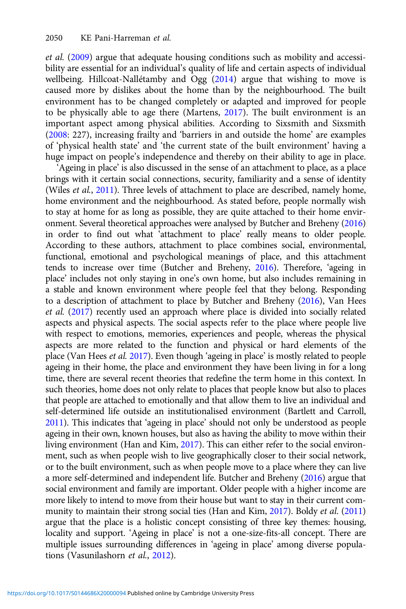et al. [\(2009\)](#page-32-0) argue that adequate housing conditions such as mobility and accessibility are essential for an individual's quality of life and certain aspects of individual wellbeing. Hillcoat-Nallétamby and Ogg [\(2014\)](#page-32-0) argue that wishing to move is caused more by dislikes about the home than by the neighbourhood. The built environment has to be changed completely or adapted and improved for people to be physically able to age there (Martens, [2017\)](#page-32-0). The built environment is an important aspect among physical abilities. According to Sixsmith and Sixsmith ([2008](#page-33-0): 227), increasing frailty and 'barriers in and outside the home' are examples of 'physical health state' and 'the current state of the built environment' having a huge impact on people's independence and thereby on their ability to age in place.

'Ageing in place' is also discussed in the sense of an attachment to place, as a place brings with it certain social connections, security, familiarity and a sense of identity (Wiles et al., [2011\)](#page-33-0). Three levels of attachment to place are described, namely home, home environment and the neighbourhood. As stated before, people normally wish to stay at home for as long as possible, they are quite attached to their home environment. Several theoretical approaches were analysed by Butcher and Breheny ([2016\)](#page-32-0) in order to find out what 'attachment to place' really means to older people. According to these authors, attachment to place combines social, environmental, functional, emotional and psychological meanings of place, and this attachment tends to increase over time (Butcher and Breheny, [2016](#page-32-0)). Therefore, 'ageing in place' includes not only staying in one's own home, but also includes remaining in a stable and known environment where people feel that they belong. Responding to a description of attachment to place by Butcher and Breheny ([2016\)](#page-32-0), Van Hees et al. ([2017\)](#page-33-0) recently used an approach where place is divided into socially related aspects and physical aspects. The social aspects refer to the place where people live with respect to emotions, memories, experiences and people, whereas the physical aspects are more related to the function and physical or hard elements of the place (Van Hees et al. [2017\)](#page-33-0). Even though 'ageing in place' is mostly related to people ageing in their home, the place and environment they have been living in for a long time, there are several recent theories that redefine the term home in this context. In such theories, home does not only relate to places that people know but also to places that people are attached to emotionally and that allow them to live an individual and self-determined life outside an institutionalised environment (Bartlett and Carroll, [2011](#page-31-0)). This indicates that 'ageing in place' should not only be understood as people ageing in their own, known houses, but also as having the ability to move within their living environment (Han and Kim, [2017\)](#page-32-0). This can either refer to the social environment, such as when people wish to live geographically closer to their social network, or to the built environment, such as when people move to a place where they can live a more self-determined and independent life. Butcher and Breheny ([2016\)](#page-32-0) argue that social environment and family are important. Older people with a higher income are more likely to intend to move from their house but want to stay in their current community to maintain their strong social ties (Han and Kim, [2017](#page-32-0)). Boldy et al. ([2011\)](#page-31-0) argue that the place is a holistic concept consisting of three key themes: housing, locality and support. 'Ageing in place' is not a one-size-fits-all concept. There are multiple issues surrounding differences in 'ageing in place' among diverse populations (Vasunilashorn et al., [2012\)](#page-33-0).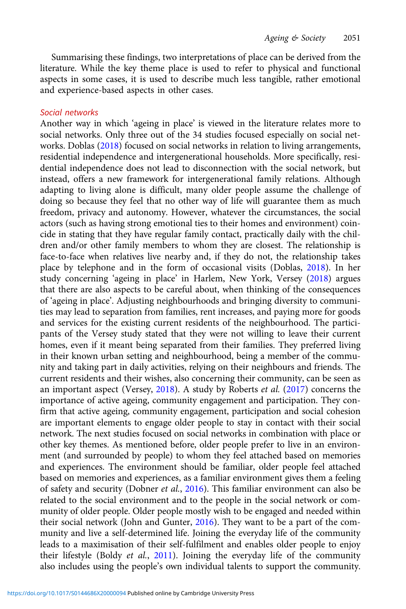Summarising these findings, two interpretations of place can be derived from the literature. While the key theme place is used to refer to physical and functional aspects in some cases, it is used to describe much less tangible, rather emotional and experience-based aspects in other cases.

#### Social networks

Another way in which 'ageing in place' is viewed in the literature relates more to social networks. Only three out of the 34 studies focused especially on social net-works. Doblas [\(2018](#page-32-0)) focused on social networks in relation to living arrangements, residential independence and intergenerational households. More specifically, residential independence does not lead to disconnection with the social network, but instead, offers a new framework for intergenerational family relations. Although adapting to living alone is difficult, many older people assume the challenge of doing so because they feel that no other way of life will guarantee them as much freedom, privacy and autonomy. However, whatever the circumstances, the social actors (such as having strong emotional ties to their homes and environment) coincide in stating that they have regular family contact, practically daily with the children and/or other family members to whom they are closest. The relationship is face-to-face when relatives live nearby and, if they do not, the relationship takes place by telephone and in the form of occasional visits (Doblas, [2018](#page-32-0)). In her study concerning 'ageing in place' in Harlem, New York, Versey ([2018](#page-33-0)) argues that there are also aspects to be careful about, when thinking of the consequences of 'ageing in place'. Adjusting neighbourhoods and bringing diversity to communities may lead to separation from families, rent increases, and paying more for goods and services for the existing current residents of the neighbourhood. The participants of the Versey study stated that they were not willing to leave their current homes, even if it meant being separated from their families. They preferred living in their known urban setting and neighbourhood, being a member of the community and taking part in daily activities, relying on their neighbours and friends. The current residents and their wishes, also concerning their community, can be seen as an important aspect (Versey, [2018](#page-33-0)). A study by Roberts et al. ([2017\)](#page-33-0) concerns the importance of active ageing, community engagement and participation. They confirm that active ageing, community engagement, participation and social cohesion are important elements to engage older people to stay in contact with their social network. The next studies focused on social networks in combination with place or other key themes. As mentioned before, older people prefer to live in an environment (and surrounded by people) to whom they feel attached based on memories and experiences. The environment should be familiar, older people feel attached based on memories and experiences, as a familiar environment gives them a feeling of safety and security (Dobner et al., [2016\)](#page-32-0). This familiar environment can also be related to the social environment and to the people in the social network or community of older people. Older people mostly wish to be engaged and needed within their social network (John and Gunter, [2016\)](#page-32-0). They want to be a part of the community and live a self-determined life. Joining the everyday life of the community leads to a maximisation of their self-fulfilment and enables older people to enjoy their lifestyle (Boldy et al., [2011](#page-31-0)). Joining the everyday life of the community also includes using the people's own individual talents to support the community.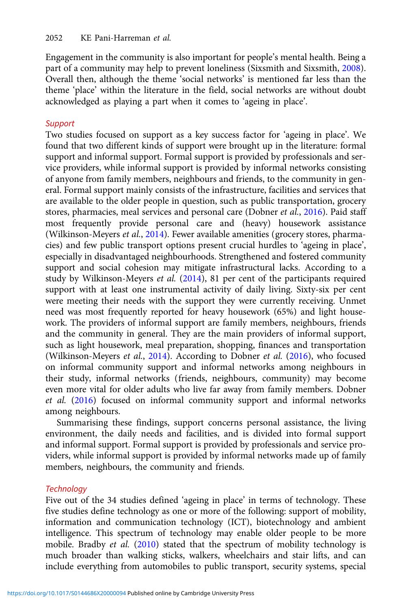Engagement in the community is also important for people's mental health. Being a part of a community may help to prevent loneliness (Sixsmith and Sixsmith, [2008\)](#page-33-0). Overall then, although the theme 'social networks' is mentioned far less than the theme 'place' within the literature in the field, social networks are without doubt acknowledged as playing a part when it comes to 'ageing in place'.

# **Support**

Two studies focused on support as a key success factor for 'ageing in place'. We found that two different kinds of support were brought up in the literature: formal support and informal support. Formal support is provided by professionals and service providers, while informal support is provided by informal networks consisting of anyone from family members, neighbours and friends, to the community in general. Formal support mainly consists of the infrastructure, facilities and services that are available to the older people in question, such as public transportation, grocery stores, pharmacies, meal services and personal care (Dobner et al., [2016](#page-32-0)). Paid staff most frequently provide personal care and (heavy) housework assistance (Wilkinson-Meyers et al., [2014\)](#page-33-0). Fewer available amenities (grocery stores, pharmacies) and few public transport options present crucial hurdles to 'ageing in place', especially in disadvantaged neighbourhoods. Strengthened and fostered community support and social cohesion may mitigate infrastructural lacks. According to a study by Wilkinson-Meyers et al. [\(2014\)](#page-33-0), 81 per cent of the participants required support with at least one instrumental activity of daily living. Sixty-six per cent were meeting their needs with the support they were currently receiving. Unmet need was most frequently reported for heavy housework (65%) and light housework. The providers of informal support are family members, neighbours, friends and the community in general. They are the main providers of informal support, such as light housework, meal preparation, shopping, finances and transportation (Wilkinson-Meyers et al., [2014](#page-33-0)). According to Dobner et al. [\(2016\)](#page-32-0), who focused on informal community support and informal networks among neighbours in their study, informal networks (friends, neighbours, community) may become even more vital for older adults who live far away from family members. Dobner et al. [\(2016\)](#page-32-0) focused on informal community support and informal networks among neighbours.

Summarising these findings, support concerns personal assistance, the living environment, the daily needs and facilities, and is divided into formal support and informal support. Formal support is provided by professionals and service providers, while informal support is provided by informal networks made up of family members, neighbours, the community and friends.

# **Technology**

Five out of the 34 studies defined 'ageing in place' in terms of technology. These five studies define technology as one or more of the following: support of mobility, information and communication technology (ICT), biotechnology and ambient intelligence. This spectrum of technology may enable older people to be more mobile. Bradby et al. ([2010](#page-32-0)) stated that the spectrum of mobility technology is much broader than walking sticks, walkers, wheelchairs and stair lifts, and can include everything from automobiles to public transport, security systems, special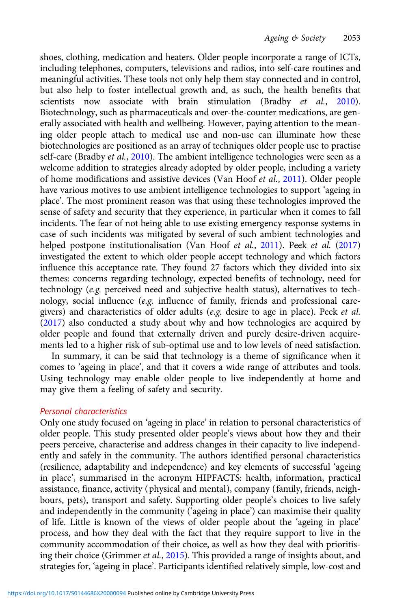shoes, clothing, medication and heaters. Older people incorporate a range of ICTs, including telephones, computers, televisions and radios, into self-care routines and meaningful activities. These tools not only help them stay connected and in control, but also help to foster intellectual growth and, as such, the health benefits that scientists now associate with brain stimulation (Bradby et al., [2010\)](#page-32-0). Biotechnology, such as pharmaceuticals and over-the-counter medications, are generally associated with health and wellbeing. However, paying attention to the meaning older people attach to medical use and non-use can illuminate how these biotechnologies are positioned as an array of techniques older people use to practise self-care (Bradby et al., [2010\)](#page-32-0). The ambient intelligence technologies were seen as a welcome addition to strategies already adopted by older people, including a variety of home modifications and assistive devices (Van Hoof et al., [2011\)](#page-33-0). Older people have various motives to use ambient intelligence technologies to support 'ageing in place'. The most prominent reason was that using these technologies improved the sense of safety and security that they experience, in particular when it comes to fall incidents. The fear of not being able to use existing emergency response systems in case of such incidents was mitigated by several of such ambient technologies and helped postpone institutionalisation (Van Hoof et al., [2011](#page-33-0)). Peek et al. [\(2017](#page-33-0)) investigated the extent to which older people accept technology and which factors influence this acceptance rate. They found 27 factors which they divided into six themes: concerns regarding technology, expected benefits of technology, need for technology (e.g. perceived need and subjective health status), alternatives to technology, social influence (e.g. influence of family, friends and professional caregivers) and characteristics of older adults (e.g. desire to age in place). Peek et al. [\(2017\)](#page-33-0) also conducted a study about why and how technologies are acquired by older people and found that externally driven and purely desire-driven acquirements led to a higher risk of sub-optimal use and to low levels of need satisfaction.

In summary, it can be said that technology is a theme of significance when it comes to 'ageing in place', and that it covers a wide range of attributes and tools. Using technology may enable older people to live independently at home and may give them a feeling of safety and security.

## Personal characteristics

Only one study focused on 'ageing in place' in relation to personal characteristics of older people. This study presented older people's views about how they and their peers perceive, characterise and address changes in their capacity to live independently and safely in the community. The authors identified personal characteristics (resilience, adaptability and independence) and key elements of successful 'ageing in place', summarised in the acronym HIPFACTS: health, information, practical assistance, finance, activity (physical and mental), company (family, friends, neighbours, pets), transport and safety. Supporting older people's choices to live safely and independently in the community ('ageing in place') can maximise their quality of life. Little is known of the views of older people about the 'ageing in place' process, and how they deal with the fact that they require support to live in the community accommodation of their choice, as well as how they deal with prioritising their choice (Grimmer et al., [2015\)](#page-32-0). This provided a range of insights about, and strategies for, 'ageing in place'. Participants identified relatively simple, low-cost and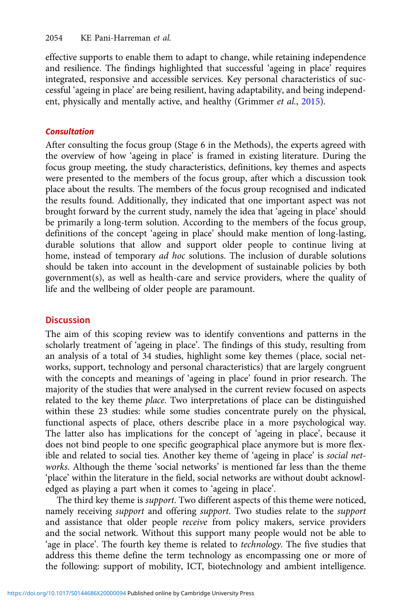effective supports to enable them to adapt to change, while retaining independence and resilience. The findings highlighted that successful 'ageing in place' requires integrated, responsive and accessible services. Key personal characteristics of successful 'ageing in place' are being resilient, having adaptability, and being independ-ent, physically and mentally active, and healthy (Grimmer et al., [2015\)](#page-32-0).

# Consultation

After consulting the focus group (Stage 6 in the Methods), the experts agreed with the overview of how 'ageing in place' is framed in existing literature. During the focus group meeting, the study characteristics, definitions, key themes and aspects were presented to the members of the focus group, after which a discussion took place about the results. The members of the focus group recognised and indicated the results found. Additionally, they indicated that one important aspect was not brought forward by the current study, namely the idea that 'ageing in place' should be primarily a long-term solution. According to the members of the focus group, definitions of the concept 'ageing in place' should make mention of long-lasting, durable solutions that allow and support older people to continue living at home, instead of temporary ad hoc solutions. The inclusion of durable solutions should be taken into account in the development of sustainable policies by both government(s), as well as health-care and service providers, where the quality of life and the wellbeing of older people are paramount.

# **Discussion**

The aim of this scoping review was to identify conventions and patterns in the scholarly treatment of 'ageing in place'. The findings of this study, resulting from an analysis of a total of 34 studies, highlight some key themes (place, social networks, support, technology and personal characteristics) that are largely congruent with the concepts and meanings of 'ageing in place' found in prior research. The majority of the studies that were analysed in the current review focused on aspects related to the key theme place. Two interpretations of place can be distinguished within these 23 studies: while some studies concentrate purely on the physical, functional aspects of place, others describe place in a more psychological way. The latter also has implications for the concept of 'ageing in place', because it does not bind people to one specific geographical place anymore but is more flexible and related to social ties. Another key theme of 'ageing in place' is social networks. Although the theme 'social networks' is mentioned far less than the theme 'place' within the literature in the field, social networks are without doubt acknowledged as playing a part when it comes to 'ageing in place'.

The third key theme is *support*. Two different aspects of this theme were noticed, namely receiving support and offering support. Two studies relate to the support and assistance that older people receive from policy makers, service providers and the social network. Without this support many people would not be able to 'age in place'. The fourth key theme is related to technology. The five studies that address this theme define the term technology as encompassing one or more of the following: support of mobility, ICT, biotechnology and ambient intelligence.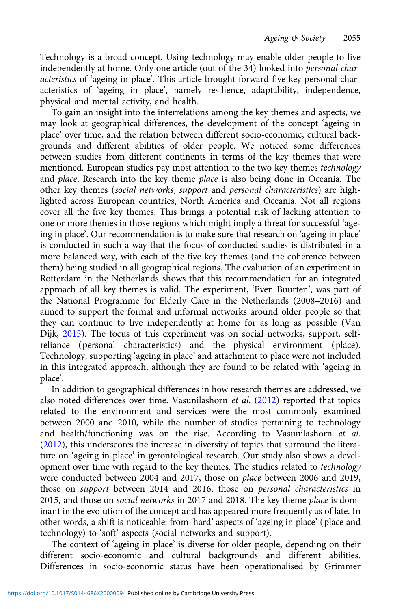Technology is a broad concept. Using technology may enable older people to live independently at home. Only one article (out of the 34) looked into personal characteristics of 'ageing in place'. This article brought forward five key personal characteristics of 'ageing in place', namely resilience, adaptability, independence, physical and mental activity, and health.

To gain an insight into the interrelations among the key themes and aspects, we may look at geographical differences, the development of the concept 'ageing in place' over time, and the relation between different socio-economic, cultural backgrounds and different abilities of older people. We noticed some differences between studies from different continents in terms of the key themes that were mentioned. European studies pay most attention to the two key themes technology and place. Research into the key theme place is also being done in Oceania. The other key themes (social networks, support and personal characteristics) are highlighted across European countries, North America and Oceania. Not all regions cover all the five key themes. This brings a potential risk of lacking attention to one or more themes in those regions which might imply a threat for successful 'ageing in place'. Our recommendation is to make sure that research on 'ageing in place' is conducted in such a way that the focus of conducted studies is distributed in a more balanced way, with each of the five key themes (and the coherence between them) being studied in all geographical regions. The evaluation of an experiment in Rotterdam in the Netherlands shows that this recommendation for an integrated approach of all key themes is valid. The experiment, 'Even Buurten', was part of the National Programme for Elderly Care in the Netherlands (2008–2016) and aimed to support the formal and informal networks around older people so that they can continue to live independently at home for as long as possible (Van Dijk, [2015](#page-33-0)). The focus of this experiment was on social networks, support, selfreliance (personal characteristics) and the physical environment (place). Technology, supporting 'ageing in place' and attachment to place were not included in this integrated approach, although they are found to be related with 'ageing in place'.

In addition to geographical differences in how research themes are addressed, we also noted differences over time. Vasunilashorn et al. [\(2012](#page-33-0)) reported that topics related to the environment and services were the most commonly examined between 2000 and 2010, while the number of studies pertaining to technology and health/functioning was on the rise. According to Vasunilashorn et al. [\(2012\)](#page-33-0), this underscores the increase in diversity of topics that surround the literature on 'ageing in place' in gerontological research. Our study also shows a development over time with regard to the key themes. The studies related to technology were conducted between 2004 and 2017, those on place between 2006 and 2019, those on support between 2014 and 2016, those on personal characteristics in 2015, and those on social networks in 2017 and 2018. The key theme place is dominant in the evolution of the concept and has appeared more frequently as of late. In other words, a shift is noticeable: from 'hard' aspects of 'ageing in place' (place and technology) to 'soft' aspects (social networks and support).

The context of 'ageing in place' is diverse for older people, depending on their different socio-economic and cultural backgrounds and different abilities. Differences in socio-economic status have been operationalised by Grimmer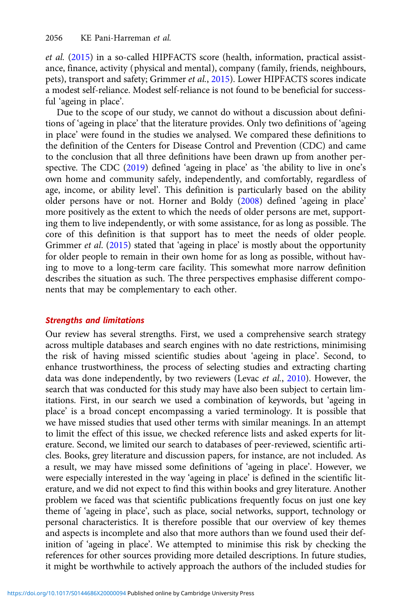et al. ([2015](#page-32-0)) in a so-called HIPFACTS score (health, information, practical assistance, finance, activity (physical and mental), company (family, friends, neighbours, pets), transport and safety; Grimmer et al., [2015\)](#page-32-0). Lower HIPFACTS scores indicate a modest self-reliance. Modest self-reliance is not found to be beneficial for successful 'ageing in place'.

Due to the scope of our study, we cannot do without a discussion about definitions of 'ageing in place' that the literature provides. Only two definitions of 'ageing in place' were found in the studies we analysed. We compared these definitions to the definition of the Centers for Disease Control and Prevention (CDC) and came to the conclusion that all three definitions have been drawn up from another perspective. The CDC [\(2019\)](#page-32-0) defined 'ageing in place' as 'the ability to live in one's own home and community safely, independently, and comfortably, regardless of age, income, or ability level'. This definition is particularly based on the ability older persons have or not. Horner and Boldy ([2008](#page-32-0)) defined 'ageing in place' more positively as the extent to which the needs of older persons are met, supporting them to live independently, or with some assistance, for as long as possible. The core of this definition is that support has to meet the needs of older people. Grimmer et al. [\(2015\)](#page-32-0) stated that 'ageing in place' is mostly about the opportunity for older people to remain in their own home for as long as possible, without having to move to a long-term care facility. This somewhat more narrow definition describes the situation as such. The three perspectives emphasise different components that may be complementary to each other.

#### Strengths and limitations

Our review has several strengths. First, we used a comprehensive search strategy across multiple databases and search engines with no date restrictions, minimising the risk of having missed scientific studies about 'ageing in place'. Second, to enhance trustworthiness, the process of selecting studies and extracting charting data was done independently, by two reviewers (Levac et al., [2010](#page-32-0)). However, the search that was conducted for this study may have also been subject to certain limitations. First, in our search we used a combination of keywords, but 'ageing in place' is a broad concept encompassing a varied terminology. It is possible that we have missed studies that used other terms with similar meanings. In an attempt to limit the effect of this issue, we checked reference lists and asked experts for literature. Second, we limited our search to databases of peer-reviewed, scientific articles. Books, grey literature and discussion papers, for instance, are not included. As a result, we may have missed some definitions of 'ageing in place'. However, we were especially interested in the way 'ageing in place' is defined in the scientific literature, and we did not expect to find this within books and grey literature. Another problem we faced was that scientific publications frequently focus on just one key theme of 'ageing in place', such as place, social networks, support, technology or personal characteristics. It is therefore possible that our overview of key themes and aspects is incomplete and also that more authors than we found used their definition of 'ageing in place'. We attempted to minimise this risk by checking the references for other sources providing more detailed descriptions. In future studies, it might be worthwhile to actively approach the authors of the included studies for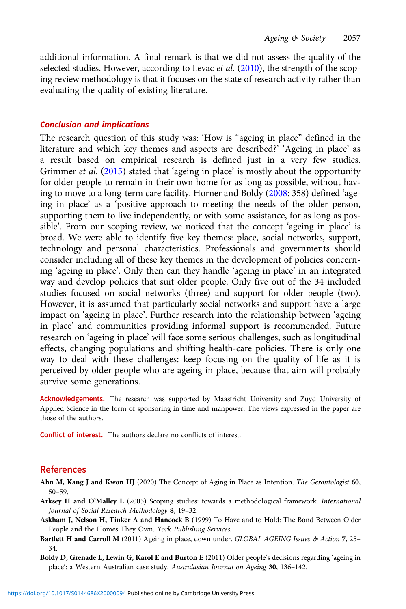<span id="page-31-0"></span>additional information. A final remark is that we did not assess the quality of the selected studies. However, according to Levac *et al.*  $(2010)$ , the strength of the scoping review methodology is that it focuses on the state of research activity rather than evaluating the quality of existing literature.

#### Conclusion and implications

The research question of this study was: 'How is "ageing in place" defined in the literature and which key themes and aspects are described?' 'Ageing in place' as a result based on empirical research is defined just in a very few studies. Grimmer *et al.* [\(2015](#page-32-0)) stated that 'ageing in place' is mostly about the opportunity for older people to remain in their own home for as long as possible, without having to move to a long-term care facility. Horner and Boldy [\(2008:](#page-32-0) 358) defined 'ageing in place' as a 'positive approach to meeting the needs of the older person, supporting them to live independently, or with some assistance, for as long as possible'. From our scoping review, we noticed that the concept 'ageing in place' is broad. We were able to identify five key themes: place, social networks, support, technology and personal characteristics. Professionals and governments should consider including all of these key themes in the development of policies concerning 'ageing in place'. Only then can they handle 'ageing in place' in an integrated way and develop policies that suit older people. Only five out of the 34 included studies focused on social networks (three) and support for older people (two). However, it is assumed that particularly social networks and support have a large impact on 'ageing in place'. Further research into the relationship between 'ageing in place' and communities providing informal support is recommended. Future research on 'ageing in place' will face some serious challenges, such as longitudinal effects, changing populations and shifting health-care policies. There is only one way to deal with these challenges: keep focusing on the quality of life as it is perceived by older people who are ageing in place, because that aim will probably survive some generations.

Acknowledgements. The research was supported by Maastricht University and Zuyd University of Applied Science in the form of sponsoring in time and manpower. The views expressed in the paper are those of the authors.

Conflict of interest. The authors declare no conflicts of interest.

# References

- Ahn M, Kang J and Kwon HJ (2020) The Concept of Aging in Place as Intention. The Gerontologist 60, 50–59.
- Arksey H and O'Malley L (2005) Scoping studies: towards a methodological framework. International Journal of Social Research Methodology 8, 19–32.
- Askham J, Nelson H, Tinker A and Hancock B (1999) To Have and to Hold: The Bond Between Older People and the Homes They Own. York Publishing Services.
- Bartlett H and Carroll M (2011) Ageing in place, down under. GLOBAL AGEING Issues & Action 7, 25-34.
- Boldy D, Grenade L, Lewin G, Karol E and Burton E (2011) Older people's decisions regarding 'ageing in place': a Western Australian case study. Australasian Journal on Ageing 30, 136-142.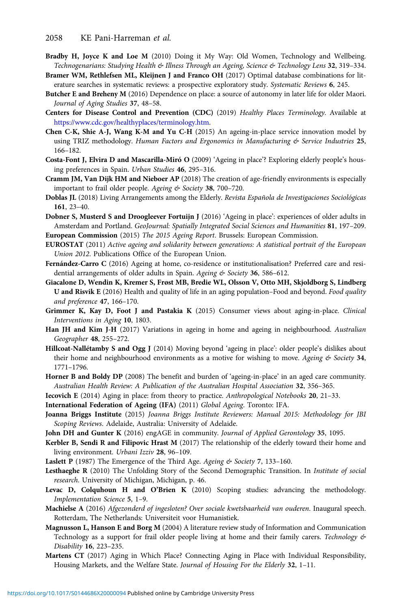- <span id="page-32-0"></span>Bradby H, Joyce K and Loe M (2010) Doing it My Way: Old Women, Technology and Wellbeing. Technogenarians: Studying Health & Illness Through an Ageing, Science & Technology Lens 32, 319-334.
- Bramer WM, Rethlefsen ML, Kleijnen J and Franco OH (2017) Optimal database combinations for literature searches in systematic reviews: a prospective exploratory study. Systematic Reviews 6, 245.
- Butcher E and Breheny M (2016) Dependence on place: a source of autonomy in later life for older Maori. Journal of Aging Studies 37, 48–58.
- Centers for Disease Control and Prevention (CDC) (2019) Healthy Places Terminology. Available at [https://www.cdc.gov/healthyplaces/terminology.htm.](https://www.cdc.gov/healthyplaces/terminology.htm)
- Chen C-K, Shie A-J, Wang K-M and Yu C-H (2015) An ageing-in-place service innovation model by using TRIZ methodology. Human Factors and Ergonomics in Manufacturing & Service Industries 25, 166–182.
- Costa-Font J, Elvira D and Mascarilla-Miró O (2009) 'Ageing in place'? Exploring elderly people's housing preferences in Spain. Urban Studies 46, 295–316.
- Cramm JM, Van Dijk HM and Nieboer AP (2018) The creation of age-friendly environments is especially important to frail older people. Ageing & Society 38, 700-720.
- Doblas JL (2018) Living Arrangements among the Elderly. Revista Española de Investigaciones Sociológicas 161, 23–40.
- Dobner S, Musterd S and Droogleever Fortuijn J (2016) 'Ageing in place': experiences of older adults in Amsterdam and Portland. GeoJournal: Spatially Integrated Social Sciences and Humanities 81, 197-209. European Commission (2015) The 2015 Ageing Report. Brussels: European Commission.
- EUROSTAT (2011) Active ageing and solidarity between generations: A statistical portrait of the European Union 2012. Publications Office of the European Union.
- Fernández-Carro C (2016) Ageing at home, co-residence or institutionalisation? Preferred care and residential arrangements of older adults in Spain. Ageing & Society 36, 586-612.
- Giacalone D, Wendin K, Kremer S, Frøst MB, Bredie WL, Olsson V, Otto MH, Skjoldborg S, Lindberg U and Risvik E (2016) Health and quality of life in an aging population–Food and beyond. Food quality and preference 47, 166–170.
- Grimmer K, Kay D, Foot J and Pastakia K (2015) Consumer views about aging-in-place. Clinical Interventions in Aging 10, 1803.
- Han JH and Kim J-H (2017) Variations in ageing in home and ageing in neighbourhood. Australian Geographer 48, 255–272.
- Hillcoat-Nallétamby S and Ogg J (2014) Moving beyond 'ageing in place': older people's dislikes about their home and neighbourhood environments as a motive for wishing to move. Ageing  $\&$  Society 34, 1771–1796.
- Horner B and Boldy DP (2008) The benefit and burden of 'ageing-in-place' in an aged care community. Australian Health Review: A Publication of the Australian Hospital Association 32, 356–365.
- Iecovich E (2014) Aging in place: from theory to practice. Anthropological Notebooks 20, 21–33.
- International Federation of Ageing (IFA) (2011) Global Ageing. Toronto: IFA.
- Joanna Briggs Institute (2015) Joanna Briggs Institute Reviewers: Manual 2015: Methodology for JBI Scoping Reviews. Adelaide, Australia: University of Adelaide.
- John DH and Gunter K (2016) engAGE in community. Journal of Applied Gerontology 35, 1095.
- Kerbler B, Sendi R and Filipovic Hrast M (2017) The relationship of the elderly toward their home and living environment. Urbani Izziv 28, 96–109.
- Laslett P (1987) The Emergence of the Third Age. Ageing & Society 7, 133-160.
- Lesthaeghe R (2010) The Unfolding Story of the Second Demographic Transition. In Institute of social research. University of Michigan, Michigan, p. 46.
- Levac D, Colquhoun H and O'Brien K (2010) Scoping studies: advancing the methodology. Implementation Science 5, 1–9.
- Machielse A (2016) Afgezonderd of ingesloten? Over sociale kwetsbaarheid van ouderen. Inaugural speech. Rotterdam, The Netherlands: Universiteit voor Humanistiek.
- Magnusson L, Hanson E and Borg M (2004) A literature review study of Information and Communication Technology as a support for frail older people living at home and their family carers. Technology  $\otimes$ Disability 16, 223–235.
- Martens CT (2017) Aging in Which Place? Connecting Aging in Place with Individual Responsibility, Housing Markets, and the Welfare State. Journal of Housing For the Elderly 32, 1–11.